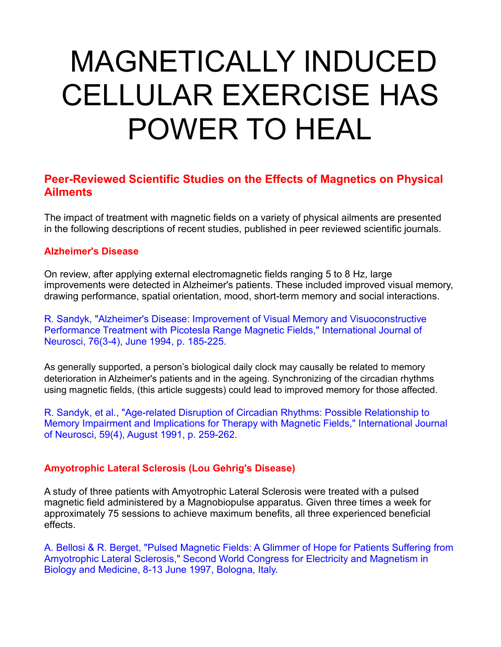# MAGNETICALLY INDUCED CELLULAR EXERCISE HAS POWER TO HEAL

# **Peer-Reviewed Scientific Studies on the Effects of Magnetics on Physical Ailments**

The impact of treatment with magnetic fields on a variety of physical ailments are presented in the following descriptions of recent studies, published in peer reviewed scientific journals.

## **Alzheimer's Disease**

On review, after applying external electromagnetic fields ranging 5 to 8 Hz, large improvements were detected in Alzheimer's patients. These included improved visual memory, drawing performance, spatial orientation, mood, short-term memory and social interactions.

R. Sandyk, "Alzheimer's Disease: Improvement of Visual Memory and Visuoconstructive Performance Treatment with Picotesla Range Magnetic Fields," International Journal of Neurosci, 76(3-4), June 1994, p. 185-225.

As generally supported, a person's biological daily clock may causally be related to memory deterioration in Alzheimer's patients and in the ageing. Synchronizing of the circadian rhythms using magnetic fields, (this article suggests) could lead to improved memory for those affected.

R. Sandyk, et al., "Age-related Disruption of Circadian Rhythms: Possible Relationship to Memory Impairment and Implications for Therapy with Magnetic Fields," International Journal of Neurosci, 59(4), August 1991, p. 259-262.

## **Amyotrophic Lateral Sclerosis (Lou Gehrig's Disease)**

A study of three patients with Amyotrophic Lateral Sclerosis were treated with a pulsed magnetic field administered by a Magnobiopulse apparatus. Given three times a week for approximately 75 sessions to achieve maximum benefits, all three experienced beneficial effects.

A. Bellosi & R. Berget, "Pulsed Magnetic Fields: A Glimmer of Hope for Patients Suffering from Amyotrophic Lateral Sclerosis," Second World Congress for Electricity and Magnetism in Biology and Medicine, 8-13 June 1997, Bologna, Italy.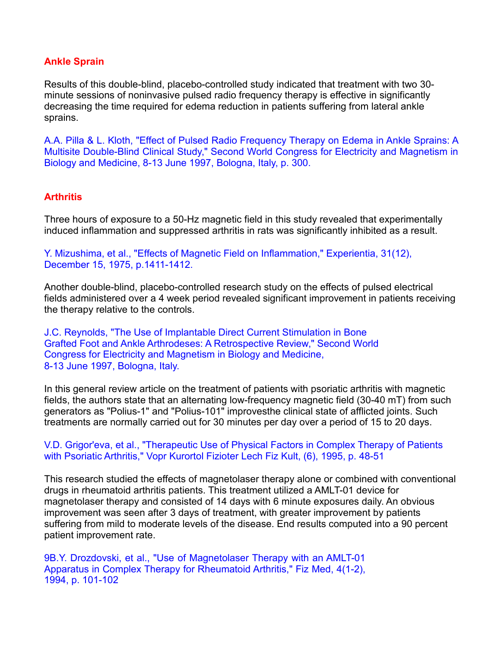# **Ankle Sprain**

Results of this double-blind, placebo-controlled study indicated that treatment with two 30 minute sessions of noninvasive pulsed radio frequency therapy is effective in significantly decreasing the time required for edema reduction in patients suffering from lateral ankle sprains.

A.A. Pilla & L. Kloth, "Effect of Pulsed Radio Frequency Therapy on Edema in Ankle Sprains: A Multisite Double-Blind Clinical Study," Second World Congress for Electricity and Magnetism in Biology and Medicine, 8-13 June 1997, Bologna, Italy, p. 300.

# **Arthritis**

Three hours of exposure to a 50-Hz magnetic field in this study revealed that experimentally induced inflammation and suppressed arthritis in rats was significantly inhibited as a result.

Y. Mizushima, et al., "Effects of Magnetic Field on Inflammation," Experientia, 31(12), December 15, 1975, p.1411-1412.

Another double-blind, placebo-controlled research study on the effects of pulsed electrical fields administered over a 4 week period revealed significant improvement in patients receiving the therapy relative to the controls.

J.C. Reynolds, "The Use of Implantable Direct Current Stimulation in Bone Grafted Foot and Ankle Arthrodeses: A Retrospective Review," Second World Congress for Electricity and Magnetism in Biology and Medicine, 8-13 June 1997, Bologna, Italy.

In this general review article on the treatment of patients with psoriatic arthritis with magnetic fields, the authors state that an alternating low-frequency magnetic field (30-40 mT) from such generators as "Polius-1" and "Polius-101" improvesthe clinical state of afflicted joints. Such treatments are normally carried out for 30 minutes per day over a period of 15 to 20 days.

V.D. Grigor'eva, et al., "Therapeutic Use of Physical Factors in Complex Therapy of Patients with Psoriatic Arthritis," Vopr Kurortol Fizioter Lech Fiz Kult, (6), 1995, p. 48-51

This research studied the effects of magnetolaser therapy alone or combined with conventional drugs in rheumatoid arthritis patients. This treatment utilized a AMLT-01 device for magnetolaser therapy and consisted of 14 days with 6 minute exposures daily. An obvious improvement was seen after 3 days of treatment, with greater improvement by patients suffering from mild to moderate levels of the disease. End results computed into a 90 percent patient improvement rate.

9B.Y. Drozdovski, et al., "Use of Magnetolaser Therapy with an AMLT-01 Apparatus in Complex Therapy for Rheumatoid Arthritis," Fiz Med, 4(1-2), 1994, p. 101-102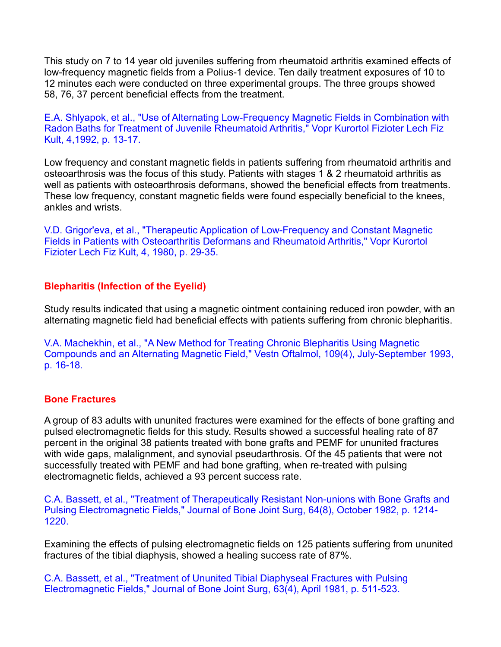This study on 7 to 14 year old juveniles suffering from rheumatoidarthritis examined effects of low-frequency magnetic fields from a Polius-1 device. Ten daily treatment exposures of 10 to 12 minutes each were conducted on three experimental groups. The three groups showed 58, 76, 37 percent beneficial effects from the treatment.

E.A. Shlyapok, et al., "Use of Alternating Low-Frequency Magnetic Fields in Combination with Radon Baths for Treatment of Juvenile Rheumatoid Arthritis," Vopr Kurortol Fizioter Lech Fiz Kult, 4,1992, p. 13-17.

Low frequency and constant magnetic fields in patients suffering from rheumatoid arthritis and osteoarthrosis was the focus of this study. Patients with stages 1 & 2 rheumatoid arthritis as well as patients with osteoarthrosis deformans, showed the beneficial effects from treatments. These low frequency, constant magnetic fields were found especially beneficial to the knees, ankles and wrists.

V.D. Grigor'eva, et al., "Therapeutic Application of Low-Frequency and Constant Magnetic Fields in Patients with Osteoarthritis Deformans and Rheumatoid Arthritis," Vopr Kurortol Fizioter Lech Fiz Kult, 4, 1980, p. 29-35.

## **Blepharitis (Infection of the Eyelid)**

Study results indicated that using a magnetic ointment containing reduced iron powder, with an alternating magnetic field had beneficial effects with patients suffering from chronic blepharitis.

V.A. Machekhin, et al., "A New Method for Treating Chronic Blepharitis Using Magnetic Compounds and an Alternating Magnetic Field," Vestn Oftalmol, 109(4), July-September 1993, p. 16-18.

## **Bone Fractures**

A group of 83 adults with ununited fractures were examined for the effects of bone grafting and pulsed electromagnetic fields for this study. Results showed a successful healing rate of 87 percent in the original 38 patients treated with bone grafts and PEMF for ununited fractures with wide gaps, malalignment, and synovial pseudarthrosis. Of the 45 patients that were not successfully treated with PEMF and had bone grafting, when re-treated with pulsing electromagnetic fields, achieved a 93 percent success rate.

C.A. Bassett, et al., "Treatment of Therapeutically Resistant Non-unions with Bone Grafts and Pulsing Electromagnetic Fields," Journal of Bone Joint Surg, 64(8), October 1982, p. 1214- 1220.

Examining the effects of pulsing electromagnetic fields on 125 patients suffering from ununited fractures of the tibial diaphysis, showed a healing success rate of 87%.

C.A. Bassett, et al., "Treatment of Ununited Tibial Diaphyseal Fractures with Pulsing Electromagnetic Fields," Journal of Bone Joint Surg, 63(4), April 1981, p. 511-523.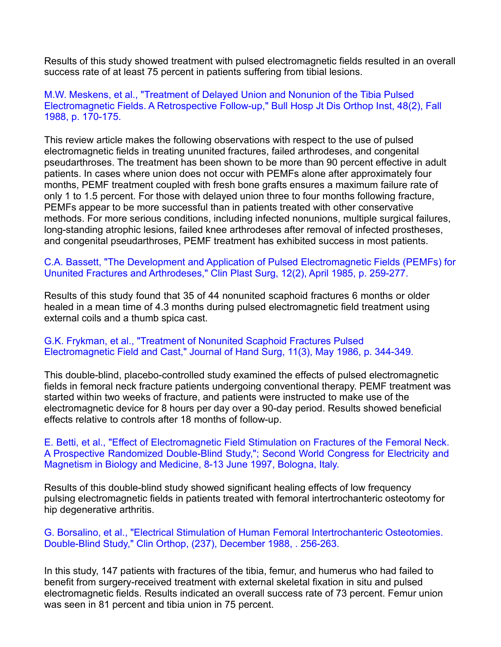Results of this study showed treatment with pulsed electromagnetic fields resulted in an overall success rate of at least 75 percent in patients suffering from tibial lesions.

## M.W. Meskens, et al., "Treatment of Delayed Union and Nonunion of the Tibia Pulsed Electromagnetic Fields. A Retrospective Follow-up," Bull Hosp Jt Dis Orthop Inst, 48(2), Fall 1988, p. 170-175.

This review article makes the following observations with respect to the use of pulsed electromagnetic fields in treating ununited fractures, failed arthrodeses, and congenital pseudarthroses. The treatment has been shown to be more than 90 percent effective in adult patients. In cases where union does not occur with PEMFs alone after approximately four months, PEMF treatment coupled with fresh bone grafts ensures a maximum failure rate of only 1 to 1.5 percent. For those with delayed union three to four months following fracture, PEMFs appear to be more successful than in patients treated with other conservative methods. For more serious conditions, including infected nonunions, multiple surgical failures, long-standing atrophic lesions, failed knee arthrodeses after removal of infected prostheses, and congenital pseudarthroses, PEMF treatment has exhibited success in most patients.

C.A. Bassett, "The Development and Application of Pulsed Electromagnetic Fields (PEMFs) for Ununited Fractures and Arthrodeses," Clin Plast Surg, 12(2), April 1985, p. 259-277.

Results of this study found that 35 of 44 nonunited scaphoid fractures 6 months or older healed in a mean time of 4.3 months during pulsed electromagnetic field treatment using external coils and a thumb spica cast.

## G.K. Frykman, et al., "Treatment of Nonunited Scaphoid Fractures Pulsed Electromagnetic Field and Cast," Journal of Hand Surg, 11(3), May 1986, p. 344-349.

This double-blind, placebo-controlled study examined the effects of pulsed electromagnetic fields in femoral neck fracture patients undergoing conventional therapy. PEMF treatment was started within two weeks of fracture, and patients were instructed to make use of the electromagnetic device for 8 hours per day over a 90-day period. Results showed beneficial effects relative to controls after 18 months of follow-up.

#### E. Betti, et al., "Effect of Electromagnetic Field Stimulation on Fractures of the Femoral Neck. A Prospective Randomized Double-Blind Study,"; Second World Congress for Electricity and Magnetism in Biology and Medicine, 8-13 June 1997, Bologna, Italy.

Results of this double-blind study showed significant healing effects of low frequency pulsing electromagnetic fields in patients treated with femoral intertrochanteric osteotomy for hip degenerative arthritis.

## G. Borsalino, et al., "Electrical Stimulation of Human Femoral Intertrochanteric Osteotomies. Double-Blind Study," Clin Orthop, (237), December 1988, . 256-263.

In this study, 147 patients with fractures of the tibia, femur, and humerus who had failed to benefit from surgery-received treatment with external skeletal fixation in situ and pulsed electromagnetic fields. Results indicated an overall success rate of 73 percent. Femur union was seen in 81 percent and tibia union in 75 percent.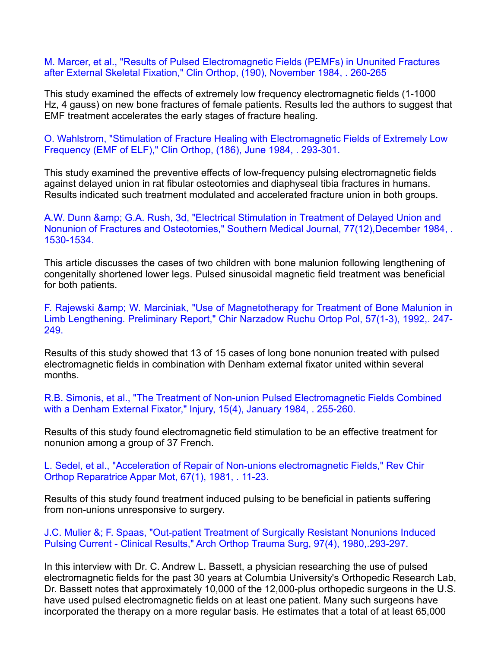M. Marcer, et al., "Results of Pulsed Electromagnetic Fields (PEMFs) in Ununited Fractures after External Skeletal Fixation," Clin Orthop, (190), November 1984, . 260-265

This study examined the effects of extremely low frequency electromagnetic fields (1-1000 Hz, 4 gauss) on new bone fractures of female patients. Results led the authors to suggest that EMF treatment accelerates the early stages of fracture healing.

O. Wahlstrom, "Stimulation of Fracture Healing with Electromagnetic Fields of Extremely Low Frequency (EMF of ELF)," Clin Orthop, (186), June 1984, . 293-301.

This study examined the preventive effects of low-frequency pulsing electromagnetic fields against delayed union in rat fibular osteotomies and diaphyseal tibia fractures in humans. Results indicated such treatment modulated and accelerated fracture union in both groups.

A.W. Dunn & amp; G.A. Rush, 3d, "Electrical Stimulation in Treatment of Delayed Union and Nonunion of Fractures and Osteotomies," Southern Medical Journal, 77(12),December 1984, . 1530-1534.

This article discusses the cases of two children with bone malunion following lengthening of congenitally shortened lower legs. Pulsed sinusoidal magnetic field treatment was beneficial for both patients.

F. Rajewski & amp; W. Marciniak, "Use of Magnetotherapy for Treatment of Bone Malunion in Limb Lengthening. Preliminary Report," Chir Narzadow RuchuOrtop Pol, 57(1-3), 1992,. 247- 249.

Results of this study showed that 13 of 15 cases of long bone nonunion treated with pulsed electromagnetic fields in combination with Denham external fixator united within several months.

R.B. Simonis, et al., "The Treatment of Non-union Pulsed Electromagnetic Fields Combined with a Denham External Fixator," Injury, 15(4), January 1984, . 255-260.

Results of this study found electromagnetic field stimulation to be an effective treatment for nonunion among a group of 37 French.

L. Sedel, et al., "Acceleration of Repair of Non-unions electromagnetic Fields," Rev Chir Orthop Reparatrice Appar Mot, 67(1), 1981, . 11-23.

Results of this study found treatment induced pulsing to be beneficial in patients suffering from non-unions unresponsive to surgery.

J.C. Mulier &; F. Spaas, "Out-patient Treatment of Surgically Resistant Nonunions Induced Pulsing Current -Clinical Results," Arch Orthop Trauma Surg, 97(4), 1980,.293-297.

In this interview with Dr. C. Andrew L. Bassett, a physician researching the use of pulsed electromagnetic fields for the past 30 years at Columbia University's Orthopedic Research Lab, Dr. Bassett notes that approximately 10,000 of the 12,000-plus orthopedic surgeons in the U.S. have used pulsed electromagnetic fields on at least one patient. Many such surgeons have incorporated the therapy on a more regular basis. He estimates that a total of at least 65,000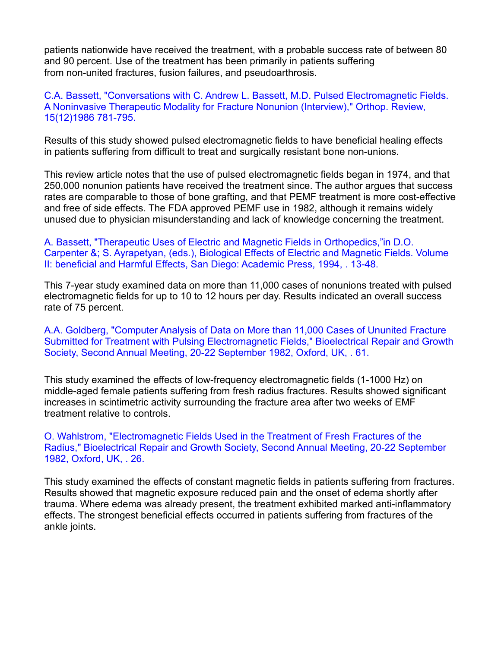patients nationwide have received the treatment, with a probable success rate of between 80 and 90 percent. Use of the treatment has been primarily in patients suffering from non-united fractures, fusion failures, and pseudoarthrosis.

## C.A. Bassett, "Conversations with C. Andrew L. Bassett, M.D. Pulsed Electromagnetic Fields. A Noninvasive Therapeutic Modality for Fracture Nonunion (Interview)," Orthop. Review, 15(12)1986 781-795.

Results of this study showed pulsed electromagnetic fields to have beneficial healing effects in patients suffering from difficult to treat and surgically resistant bone non-unions.

This review article notes that the use of pulsed electromagnetic fields began in 1974, and that 250,000 nonunion patients have received the treatment since. The author argues that success rates are comparable to those of bone grafting, and that PEMF treatment is more cost-effective and free of side effects. The FDA approved PEMF use in 1982, although it remains widely unused due to physician misunderstanding and lack of knowledge concerning the treatment.

A. Bassett, "Therapeutic Uses of Electric and Magnetic Fields in Orthopedics,"in D.O. Carpenter &; S. Ayrapetyan, (eds.), Biological Effects of Electric and Magnetic Fields. Volume II: beneficial and Harmful Effects, San Diego: Academic Press, 1994, . 13-48.

This 7-year study examined data on more than 11,000 cases of nonunions treated with pulsed electromagnetic fields for up to 10 to 12 hours per day. Results indicated an overall success rate of 75 percent.

A.A. Goldberg, "Computer Analysis of Data on More than 11,000 Cases of Ununited Fracture Submitted for Treatment with Pulsing Electromagnetic Fields," Bioelectrical Repair and Growth Society, Second Annual Meeting, 20-22 September 1982, Oxford, UK, . 61.

This study examined the effects of low-frequency electromagnetic fields (1-1000 Hz) on middle-aged female patients suffering from fresh radius fractures. Results showed significant increases in scintimetric activity surrounding the fracture area after two weeks of EMF treatment relative to controls.

O. Wahlstrom, "Electromagnetic Fields Used in the Treatment of Fresh Fractures of the Radius," Bioelectrical Repair and Growth Society, Second Annual Meeting, 20-22 September 1982, Oxford, UK, . 26.

This study examined the effects of constant magnetic fields in patients suffering from fractures. Results showed that magnetic exposure reduced pain and the onset of edema shortly after trauma. Where edema was already present, the treatment exhibited marked anti-inflammatory effects. The strongest beneficial effects occurred in patients suffering from fractures of the ankle joints.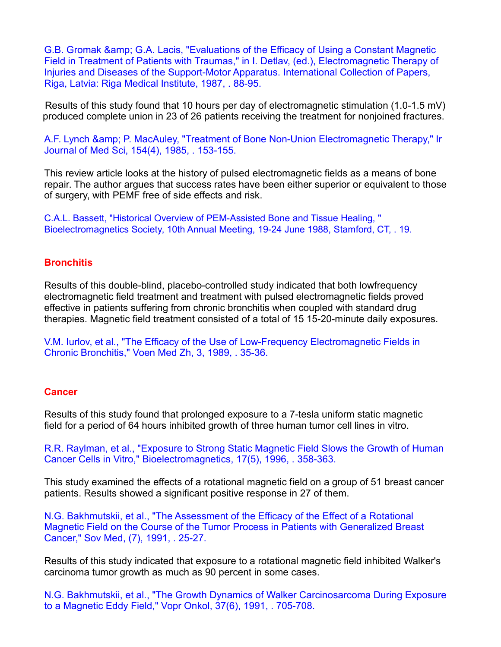G.B. Gromak & amp; G.A. Lacis, "Evaluations of the Efficacy of Using a Constant Magnetic Field in Treatment of Patients with Traumas," in I. Detlav, (ed.), Electromagnetic Therapy of Injuries and Diseases of the Support-Motor Apparatus. International Collection of Papers, Riga, Latvia: Riga Medical Institute, 1987, . 88-95.

Results of this study found that 10 hours per day of electromagnetic stimulation (1.0-1.5 mV) produced complete union in 23 of 26 patients receiving the treatment for nonjoined fractures.

A.F. Lynch & amp; P. MacAuley, "Treatment of Bone Non-Union Electromagnetic Therapy," Ir Journal of Med Sci, 154(4), 1985, . 153-155.

This review article looks at the history of pulsed electromagnetic fields as a means of bone repair. The author argues that success rates have been either superior or equivalent to those of surgery, with PEMF free of side effects and risk.

C.A.L. Bassett, "Historical Overview of PEM-Assisted Bone and Tissue Healing, " Bioelectromagnetics Society, 10th Annual Meeting, 19-24 June 1988, Stamford, CT, . 19.

#### **Bronchitis**

Results of this double-blind, placebo-controlled study indicated that both lowfrequency electromagnetic field treatment and treatment with pulsed electromagnetic fields proved effective in patients suffering from chronic bronchitis when coupled with standard drug therapies. Magnetic field treatment consisted of a total of 15 15-20-minute daily exposures.

V.M. Iurlov, et al., "The Efficacy of the Use of Low-Frequency Electromagnetic Fields in Chronic Bronchitis," Voen Med Zh, 3, 1989, . 35-36.

#### **Cancer**

Results of this study found that prolonged exposure to a 7-tesla uniform static magnetic field for a period of 64 hours inhibited growth of three human tumor cell lines in vitro.

R.R. Raylman, et al., "Exposure to Strong Static Magnetic Field Slows the Growth of Human Cancer Cells in Vitro," Bioelectromagnetics, 17(5), 1996, . 358-363.

This study examined the effects of a rotational magnetic field on a group of 51 breast cancer patients. Results showed a significant positive response in 27 of them.<br>N.G. Bakhmutskii, et al., "The Assessment of the Efficacy of the Effect of a Rotational

Magnetic Field on the Course of the Tumor Process in Patients with Generalized Breast Cancer," Sov Med, (7),1991, . 25-27.

Results of this study indicated that exposure to a rotational magnetic field inhibited Walker's carcinoma tumor growth as much as 90 percent in some cases.

N.G. Bakhmutskii, et al., "The Growth Dynamics of Walker Carcinosarcoma During Exposure to a Magnetic Eddy Field," Vopr Onkol, 37(6), 1991, . 705-708.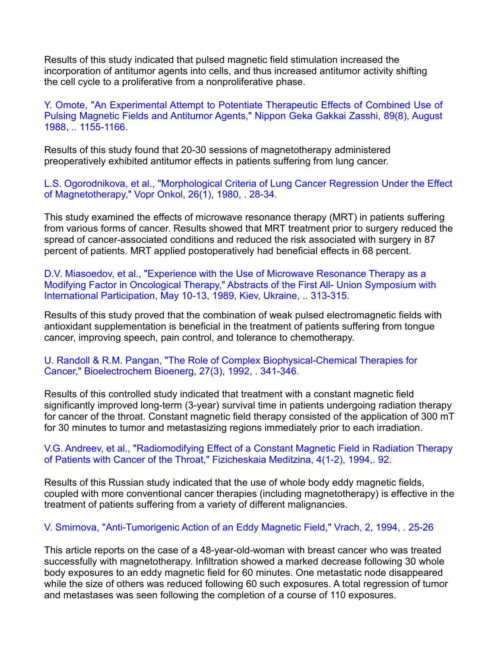Results of this study indicated that pulsed magnetic field stimulation increased the incorporation of antitumor agents into cells, and thus increased antitumor activity shifting the cell cycle to a proliferative from a nonproliferative phase.

Y. Omote, "An Experimental Attempt to Potentiate Therapeutic Effects of Combined Use of Pulsing Magnetic Fields and Antitumor Agents," Nippon Geka Gakkai Zasshi, 89(8), August 1988, .. 1155-1166.

Results of this study found that 20-30 sessions ofmagnetotherapy administered preoperatively exhibited antitumor effects in patients suffering from lung cancer.

L.S. Ogorodnikova, et al., "Morphological Criteria of Lung Cancer Regression Under the Effect of Magnetotherapy," Vopr Onkol, 26(1), 1980, . 28-34.

This study examined the effects of microwave resonance therapy (MRT) in patients suffering from various forms of cancer. Results showed that MRT treatment prior to surgery reduced the spread of cancer-associated conditions and reduced the risk associated with surgery in 87 percent of patients. MRT applied postoperatively had beneficial effects in 68 percent.<br>D.V. Miasoedov, et al., "Experience with the Use of Microwave Resonance Therapy as a

Modifying Factor in Oncological Therapy," Abstracts of the First All- Union Symposium with International Participation, May 10-13, 1989, Kiev, Ukraine, .. 313-315.

Results of this study proved that the combination of weak pulsed electromagnetic fields with antioxidant supplementation is beneficial in the treatment of patients suffering from tongue cancer, improving speech, pain control, and tolerance to chemotherapy.

U. Randoll & R.M. Pangan, "The Role of Complex Biophysical-Chemical Therapies for Cancer," Bioelectrochem Bioenerg, 27(3), 1992, . 341-346.

Results of this controlled study indicated that treatment with a constant magnetic field significantly improved long-term (3-year) survival time in patients undergoing radiation therapy for cancer of the throat. Constant magnetic field therapy consisted of the application of 300 mT for 30 minutes to tumor and metastasizing regions immediately prior to each irradiation.

## V.G. Andreev, et al., "Radiomodifying Effect of a Constant Magnetic Field in Radiation Therapy of Patients with Cancer of the Throat," Fizicheskaia Meditzina, 4(1-2), 1994,. 92.

Results of this Russian study indicated that the use of whole body eddy magnetic fields, coupled with more conventional cancer therapies (including magnetotherapy) is effective in the treatment of patients suffering from a variety of different malignancies.

# V. Smirnova, "Anti-Tumorigenic Action of an Eddy Magnetic Field," Vrach, 2, 1994, . 25-26

This article reports on the case of a 48-year-old-woman with breast cancer who was treated successfully with magnetotherapy. Infiltration showed a marked decrease following 30 whole body exposures to an eddy magnetic field for 60 minutes. One metastatic node disappeared while the size of others was reduced following 60 such exposures. A total regression of tumor and metastases was seen following the completion of a course of 110 exposures.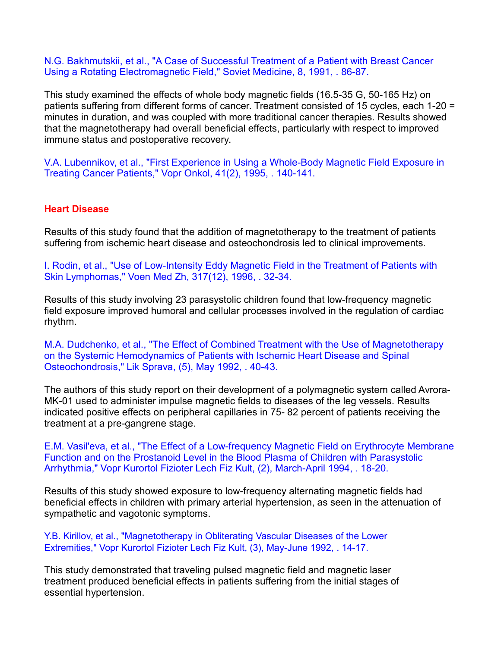N.G. Bakhmutskii, et al., "A Case of Successful Treatment of a Patient with Breast Cancer Using a Rotating Electromagnetic Field," Soviet Medicine, 8, 1991, . 86-87.

This study examined the effects of whole body magnetic fields (16.5-35 G, 50-165 Hz) on patients suffering from different forms of cancer. Treatment consisted of 15 cycles, each 1-20 = minutes in duration, and was coupled with more traditional cancer therapies. Results showed that the magnetotherapy had overall beneficial effects, particularly with respect to improved immune status and postoperative recovery.

V.A. Lubennikov, et al., "First Experience in Using a Whole-Body Magnetic Field Exposure in Treating Cancer Patients," Vopr Onkol, 41(2), 1995, . 140-141.

#### **Heart Disease**

Results of this study found that the addition of magnetotherapy to the treatment of patients suffering from ischemic heart disease and osteochondrosis led to clinical improvements.

I. Rodin, et al., "Use of Low-Intensity Eddy Magnetic Field in the Treatment of Patients with Skin Lymphomas," Voen Med Zh, 317(12), 1996, . 32-34.

Results of this study involving 23 parasystolic children found that low-frequency magnetic field exposure improved humoral and cellular processes involved in the regulation of cardiac rhythm.

M.A. Dudchenko, et al., "The Effect of Combined Treatment with the Use of Magnetotherapy on the Systemic Hemodynamics of Patients with Ischemic Heart Disease and Spinal Osteochondrosis," Lik Sprava, (5), May 1992, . 40-43.

The authors of this study report on their development of a polymagnetic system called Avrora- MK-01 used to administer impulse magnetic fields to diseases of the leg vessels. Results indicated positive effects on peripheral capillaries in 75- 82 percent of patients receiving the treatment at a pre-gangrene stage.

E.M. Vasil'eva, et al., "The Effect of a Low-frequency Magnetic Field on Erythrocyte Membrane Function and on the Prostanoid Level in the Blood Plasma of Children with Parasystolic Arrhythmia," Vopr Kurortol Fizioter Lech Fiz Kult, (2), March-April 1994, . 18-20.

Results of this study showed exposure to low-frequency alternating magnetic fields had beneficial effects in children with primary arterial hypertension, as seen in the attenuation of sympathetic and vagotonic symptoms.

Y.B. Kirillov, et al., "Magnetotherapy in Obliterating Vascular Diseases of the Lower Extremities," Vopr Kurortol Fizioter Lech Fiz Kult, (3), May-June 1992, . 14-17.

This study demonstrated that traveling pulsed magnetic field and magnetic laser treatment produced beneficial effects in patients suffering from the initial stages of essential hypertension.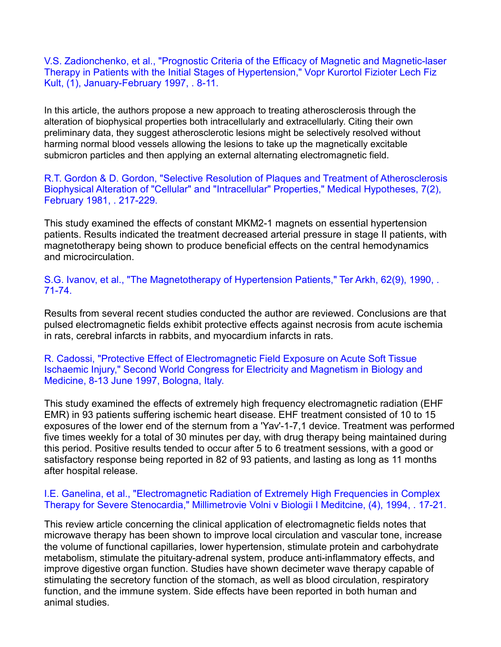V.S. Zadionchenko, et al., "Prognostic Criteria of the Efficacy of Magnetic and Magnetic-laser Therapy in Patients with the Initial Stages of Hypertension," Vopr Kurortol Fizioter Lech Fiz Kult, (1), January-February 1997, . 8-11.

In this article, the authors propose a new approach to treating atherosclerosis through the alteration of biophysical properties both intracellularly and extracellularly. Citing their own preliminary data, they suggest atherosclerotic lesions might be selectively resolved without harming normal blood vessels allowing the lesions to take up the magnetically excitable submicron particles and then applying an external alternating electromagnetic field.

R.T. Gordon & D. Gordon, "Selective Resolution of Plaques and Treatment of Atherosclerosis Biophysical Alteration of "Cellular" and "Intracellular" Properties," Medical Hypotheses, 7(2), February 1981, . 217-229.

This study examined the effects of constant MKM2-1 magnets on essential hypertension patients. Results indicated the treatment decreased arterial pressure in stage II patients, with magnetotherapy being shown to produce beneficial effects on the central hemodynamics and microcirculation.

S.G. Ivanov, et al., "The Magnetotherapy of Hypertension Patients," Ter Arkh, 62(9), 1990, . 71-74.

Results from several recent studies conducted the author are reviewed. Conclusions are that pulsed electromagnetic fields exhibit protective effects against necrosis from acute ischemia in rats, cerebral infarcts in rabbits, and myocardium infarcts in rats.

R. Cadossi, "Protective Effect of Electromagnetic Field Exposure on Acute Soft Tissue Ischaemic Injury," Second World Congress for Electricity and Magnetism in Biology and Medicine, 8-13 June 1997, Bologna, Italy.

This study examined the effects of extremely high frequency electromagnetic radiation (EHF EMR) in 93 patients suffering ischemic heart disease. EHF treatment consisted of 10 to 15 exposures of the lower end of the sternum from a 'Yav'-1-7,1 device. Treatment was performed five times weekly for a total of 30 minutes per day, with drug therapy being maintained during this period. Positive results tended to occur after 5 to 6 treatment sessions, with a good or satisfactory response being reported in 82 of 93 patients, and lasting as long as 11 months after hospital release.

#### I.E. Ganelina, et al., "Electromagnetic Radiation of Extremely High Frequencies in Complex Therapy for Severe Stenocardia," Millimetrovie Volni v Biologii I Meditcine, (4), 1994, . 17-21.

This review article concerning the clinical application of electromagnetic fields notes that microwave therapy has been shown to improve local circulation and vascular tone, increase the volume of functional capillaries, lower hypertension, stimulate protein and carbohydrate metabolism, stimulate the pituitary-adrenal system, produce anti-inflammatory effects, and improve digestive organ function. Studies have shown decimeter wave therapy capable of stimulating the secretory function of the stomach, as well as blood circulation, respiratory function, and the immune system. Side effects have been reported in both human and animal studies.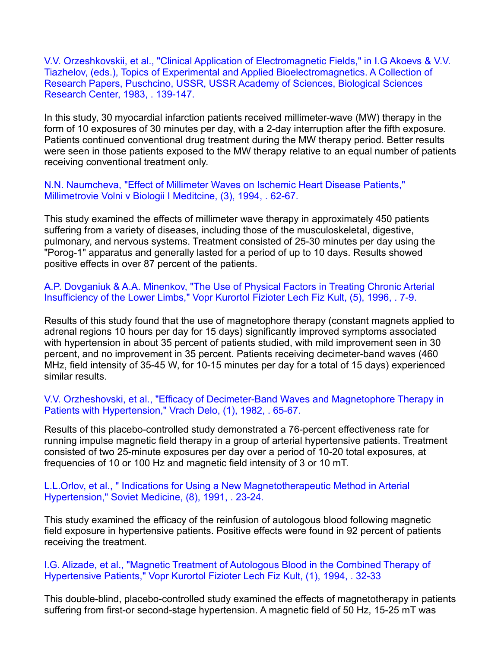V.V. Orzeshkovskii, et al., "Clinical Application of Electromagnetic Fields," in I.G Akoevs & V.V. Tiazhelov, (eds.), Topics of Experimental and Applied Bioelectromagnetics. A Collection of Research Papers, Puschcino, USSR, USSR Academy of Sciences, Biological Sciences Research Center, 1983, . 139-147.

In this study, 30 myocardial infarction patients received millimeter-wave (MW) therapy in the form of 10 exposures of 30 minutes per day, with a 2-day interruption after the fifth exposure. Patients continued conventional drug treatment during the MW therapy period. Better results were seen in those patients exposed to the MW therapy relative to an equal number of patients receiving conventional treatment only.

N.N. Naumcheva, "Effect of Millimeter Waves on Ischemic Heart Disease Patients," Millimetrovie Volni v Biologii I Meditcine, (3), 1994, . 62-67.

This study examined the effects of millimeter wave therapy in approximately 450 patients suffering from a variety of diseases, including those of the musculoskeletal, digestive, pulmonary, and nervous systems.Treatment consisted of 25-30 minutes per day using the "Porog-1" apparatus and generally lasted for a period of up to 10 days. Results showed positive effects in over 87 percent of the patients.

A.P. Dovganiuk & A.A. Minenkov, "The Use of Physical Factors in Treating Chronic Arterial Insufficiency of the Lower Limbs," Vopr Kurortol Fizioter Lech Fiz Kult, (5), 1996, . 7-9.

Results of this study found that the use of magnetophore therapy (constant magnets applied to adrenal regions 10 hours per day for 15 days) significantly improved symptoms associated with hypertension in about 35 percent of patients studied, with mild improvement seen in 30 percent, and no improvement in 35 percent. Patients receiving decimeter-band waves (460 MHz, field intensity of 35-45 W, for 10-15 minutes per day for a total of 15 days) experienced similar results.

V.V. Orzheshovski, et al., "Efficacy of Decimeter-Band Waves and Magnetophore Therapy in Patients with Hypertension," Vrach Delo, (1), 1982, . 65-67.

Results of this placebo-controlled study demonstrated a 76-percent effectiveness rate for running impulse magnetic field therapy in a group of arterial hypertensive patients. Treatment consisted of two 25-minute exposures per day over a period of 10-20 total exposures, at frequencies of 10 or 100 Hz and magnetic field intensity of 3 or10 mT.

L.L.Orlov, et al., " Indications for Using a New Magnetotherapeutic Method in Arterial Hypertension," Soviet Medicine, (8), 1991, . 23-24.

This study examined the efficacy of the reinfusion of autologous blood following magnetic field exposure in hypertensive patients. Positive effects were found in 92 percent of patients receiving the treatment.

I.G. Alizade, et al., "Magnetic Treatment of Autologous Blood in the Combined Therapy of Hypertensive Patients," Vopr Kurortol Fizioter Lech Fiz Kult, (1), 1994, . 32-33

This double-blind, placebo-controlled study examined the effects of magnetotherapy in patients suffering from first-or second-stage hypertension. A magnetic field of 50 Hz, 15-25 mT was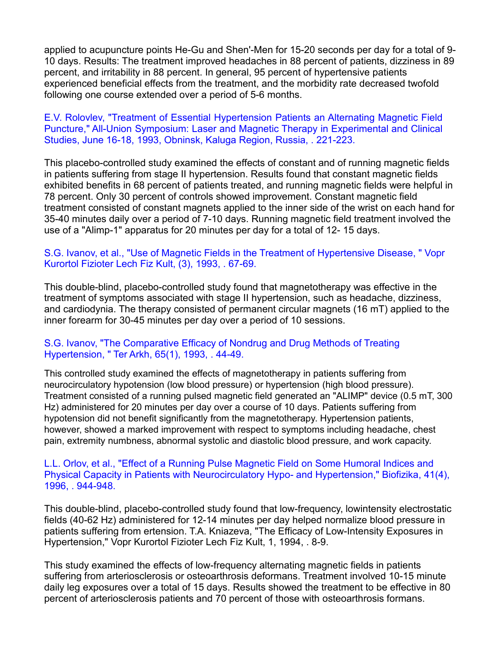applied to acupuncture points He-Gu and Shen'-Men for 15-20 seconds per day for a total of 9- 10 days. Results: The treatment improved headaches in 88 percent of patients, dizziness in 89 percent, and irritability in 88 percent.In general, 95 percent of hypertensive patients experienced beneficial effects from the treatment, and the morbidity rate decreased twofold following one course extended over a period of 5-6 months.

E.V. Rolovlev, "Treatment of Essential Hypertension Patients an Alternating Magnetic Field Puncture," All-Union Symposium: Laser and Magnetic Therapy in Experimental and Clinical Studies, June 16-18, 1993, Obninsk, Kaluga Region, Russia, . 221-223.

This placebo-controlled study examined the effects of constant and of running magnetic fields in patients suffering from stage II hypertension. Results found that constant magnetic fields exhibited benefits in 68 percent of patients treated, and running magnetic fields were helpful in 78 percent. Only 30 percent of controls showed improvement. Constant magnetic field treatment consisted of constant magnets applied to the inner side of the wrist on each hand for 35-40 minutes daily over a period of 7-10 days. Running magnetic field treatment involved the use of a "Alimp-1" apparatus for 20 minutes per day for a total of 12- 15 days.

#### S.G. Ivanov, et al., "Use of Magnetic Fields in the Treatment of Hypertensive Disease, " Vopr Kurortol Fizioter Lech Fiz Kult, (3), 1993, . 67-69.

This double-blind, placebo-controlled study found that magnetotherapy was effective in the treatment of symptoms associated with stage II hypertension, such as headache, dizziness, and cardiodynia. The therapy consisted of permanent circular magnets (16 mT) applied to the inner forearm for 30-45 minutes per day over a period of 10 sessions.

## S.G. Ivanov, "The Comparative Efficacy of Nondrug and Drug Methods of Treating Hypertension, " Ter Arkh, 65(1), 1993, . 44-49.

This controlled study examined the effects of magnetotherapy in patients suffering from neurocirculatory hypotension (low blood pressure) or hypertension (high blood pressure). Treatment consisted of a running pulsed magnetic field generated an "ALIMP" device (0.5 mT, 300 Hz) administered for 20 minutes per day over a course of 10 days. Patients suffering from hypotension did not benefit significantly from the magnetotherapy. Hypertension patients, however, showed a marked improvement with respect to symptoms including headache, chest pain, extremity numbness, abnormal systolic and diastolic blood pressure, and work capacity.

#### L.L. Orlov, et al., "Effect of a Running Pulse Magnetic Field on Some Humoral Indices and Physical Capacity in Patients with Neurocirculatory Hypo- and Hypertension," Biofizika, 41(4), 1996, . 944-948.

This double-blind, placebo-controlled study found that low-frequency, lowintensity electrostatic fields (40-62 Hz) administered for 12-14 minutes per day helped normalize blood pressure in patients suffering from ertension. T.A. Kniazeva, "The Efficacy of Low-Intensity Exposures in Hypertension," Vopr Kurortol Fizioter Lech Fiz Kult, 1, 1994, . 8-9.

This study examined the effects of low-frequency alternating magnetic fields in patients suffering from arteriosclerosis or osteoarthrosis deformans. Treatment involved 10-15 minute daily leg exposures over a total of 15 days. Results showed the treatment to be effective in 80 percent of arteriosclerosis patients and 70 percent of those with osteoarthrosis formans.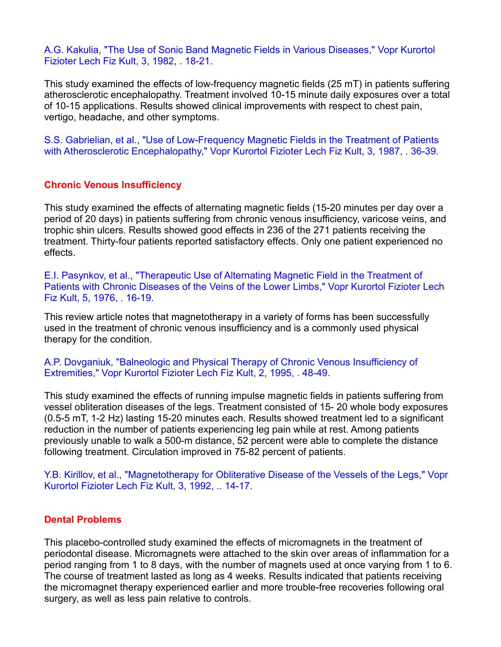A.G. Kakulia, "The Use of Sonic Band Magnetic Fields in Various Diseases," Vopr Kurortol Fizioter Lech Fiz Kult, 3, 1982, . 18-21.

This study examined the effects of low-frequency magnetic fields (25 mT) in patients suffering atherosclerotic encephalopathy. Treatment involved 10-15 minute daily exposures over a total of 10-15 applications. Results showed clinical improvements with respect to chest pain, vertigo, headache, and other symptoms.

S.S. Gabrielian, et al., "Use of Low-Frequency Magnetic Fields in the Treatment of Patients with Atherosclerotic Encephalopathy," Vopr Kurortol Fizioter Lech Fiz Kult, 3, 1987, . 36-39.

## **Chronic Venous Insufficiency**

This study examined the effects of alternating magnetic fields (15-20 minutes per day over a period of 20 days) in patients suffering from chronic venous insufficiency, varicose veins, and trophic shin ulcers. Results showed good effects in 236 of the 271 patients receiving the treatment. Thirty-four patients reported satisfactory effects. Only one patient experienced no effects.

E.I. Pasynkov, et al., "Therapeutic Use of Alternating Magnetic Field in the Treatment of Patients with Chronic Diseases of the Veins of the Lower Limbs," Vopr Kurortol Fizioter Lech Fiz Kult, 5, 1976, . 16-19.

This review article notes that magnetotherapy in a variety of forms has been successfully used in the treatment of chronic venous insufficiency and is a commonly used physical therapy for the condition.

A.P. Dovganiuk, "Balneologic and Physical Therapy of Chronic Venous Insufficiency of Extremities," Vopr Kurortol Fizioter Lech Fiz Kult, 2, 1995, . 48-49.

This study examined the effects of running impulse magnetic fields in patients suffering from vessel obliteration diseases ofthe legs. Treatment consisted of 15- 20 whole body exposures (0.5-5 mT, 1-2 Hz) lasting 15-20 minutes each. Results showed treatment led to a significant reduction in the number of patients experiencing leg pain while at rest. Among patients previously unable to walk a 500-m distance, 52 percent were able to complete the distance following treatment. Circulation improved in 75-82 percent of patients.

Y.B. Kirillov, et al., "Magnetotherapy for Obliterative Disease of the Vessels of the Legs," Vopr Kurortol Fizioter Lech Fiz Kult, 3, 1992, .. 14-17.

#### **Dental Problems**

This placebo-controlled study examined the effects of micromagnets in the treatment of periodontal disease. Micromagnets were attached to the skin over areas of inflammation for a period ranging from 1 to 8 days, with the number of magnets used at once varying from 1 to 6.<br>The course of treatment lasted as long as 4 weeks. Results indicated that patients receiving the micromagnet therapy experienced earlier and more trouble-free recoveries following oral surgery, as well as less pain relative to controls.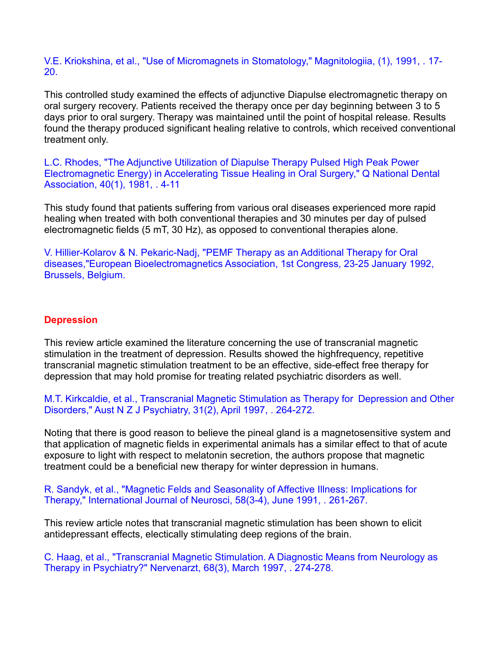V.E. Kriokshina, et al., "Use of Micromagnets in Stomatology," Magnitologiia, (1), 1991, . 17- 20.

This controlled study examined the effects of adjunctive Diapulse electromagnetic therapy on oral surgery recovery. Patients received the therapy once per day beginning between 3 to 5 days prior to oral surgery. Therapy was maintained until the point of hospital release. Results found the therapy produced significant healing relative to controls, which received conventional treatment only.

L.C. Rhodes, "The Adjunctive Utilization of Diapulse Therapy Pulsed High Peak Power Electromagnetic Energy) in Accelerating Tissue Healing in Oral Surgery," Q National Dental Association, 40(1), 1981, . 4-11

This study found that patients suffering from various oral diseases experienced more rapid healing when treated with both conventional therapies and 30 minutes per day of pulsed electromagnetic fields (5 mT, 30 Hz), as opposed to conventional therapies alone.

V. Hillier-Kolarov & N. Pekaric-Nadj, "PEMF Therapy as an Additional Therapy for Oral diseases,"European Bioelectromagnetics Association, 1st Congress, 23-25 January 1992, Brussels, Belgium.

## **Depression**

This review article examined the literature concerning the use of transcranial magnetic stimulation in the treatment of depression. Results showed the highfrequency, repetitive transcranial magnetic stimulation treatment to be an effective, side-effect free therapy for depression that may hold promise for treating related psychiatric disorders as well.

M.T. Kirkcaldie, et al., Transcranial Magnetic Stimulation as Therapy for Depression and Other Disorders," Aust N Z J Psychiatry, 31(2), April 1997, . 264-272.

Noting that there is good reason to believe the pineal gland is a magnetosensitive system and that application of magnetic fields in experimental animals has a similar effect to that of acute exposure to light with respect to melatonin secretion, the authors propose that magnetic treatment could be a beneficial new therapy for winter depression in humans.

R. Sandyk, et al., "Magnetic Felds and Seasonality of Affective Illness: Implications for Therapy," International Journal of Neurosci, 58(3-4), June 1991, . 261-267.

This review article notes that transcranial magnetic stimulation has been shown to elicit antidepressant effects, electically stimulating deep regions of the brain.

C. Haag, et al., "Transcranial Magnetic Stimulation. A Diagnostic Means from Neurology as Therapy in Psychiatry?" Nervenarzt, 68(3), March 1997, . 274-278.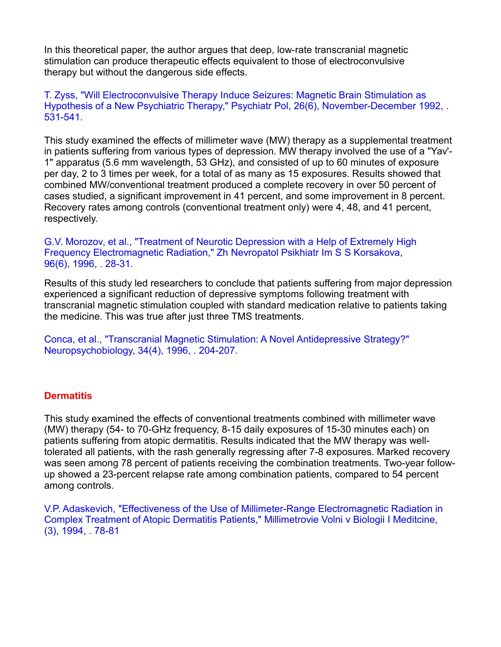In this theoretical paper, the author argues that deep, low-rate transcranial magnetic stimulation can produce therapeutic effects equivalent to those of electroconvulsive therapy but without the dangerous side effects.

T. Zyss, "Will Electroconvulsive Therapy Induce Seizures: Magnetic Brain Stimulation as Hypothesis of a New Psychiatric Therapy," Psychiatr Pol, 26(6), November-December 1992, . 531-541.

This study examined the effects of millimeter wave (MW) therapy as a supplemental treatment in patients suffering from various types of depression. MW therapy involved the use of a "Yav'- 1" apparatus (5.6 mm wavelength, 53 GHz), and consisted of up to 60 minutes of exposure per day, 2 to 3 times per week, for a total of as many as 15 exposures. Results showed that combined MW/conventional treatment produced a complete recovery in over 50 percent of cases studied, a significant improvement in 41 percent,and some improvement in 8 percent. Recovery rates among controls (conventional treatment only) were 4, 48, and 41 percent, respectively.

G.V. Morozov, et al., "Treatment of Neurotic Depression with a Help of Extremely High Frequency Electromagnetic Radiation," Zh Nevropatol Psikhiatr Im S S Korsakova, 96(6), 1996, . 28-31.

Results of this study led researchers to conclude that patients suffering from major depression experienced a significant reduction of depressive symptoms following treatment with transcranial magnetic stimulation coupled with standard medication relative to patients taking the medicine. This was true after just three TMS treatments.

Conca, et al., "Transcranial Magnetic Stimulation: A Novel Antidepressive Strategy?" Neuropsychobiology, 34(4), 1996, . 204-207.

#### **Dermatitis**

This study examined the effects of conventional treatments combined with millimeter wave (MW) therapy (54- to 70-GHz frequency, 8-15 daily exposures of 15-30 minutes each) on patients suffering from atopic dermatitis. Results indicated that the MW therapy was welltolerated all patients, with the rash generally regressing after 7-8 exposures. Marked recovery was seen among 78 percent of patients receiving the combination treatments. Two-year follow up showed a 23-percent relapse rate among combination patients, compared to 54 percent among controls.

V.P. Adaskevich, "Effectiveness of the Use of Millimeter-Range Electromagnetic Radiation in Complex Treatment of Atopic Dermatitis Patients," Millimetrovie Volni v Biologii I Meditcine, (3), 1994, . 78-81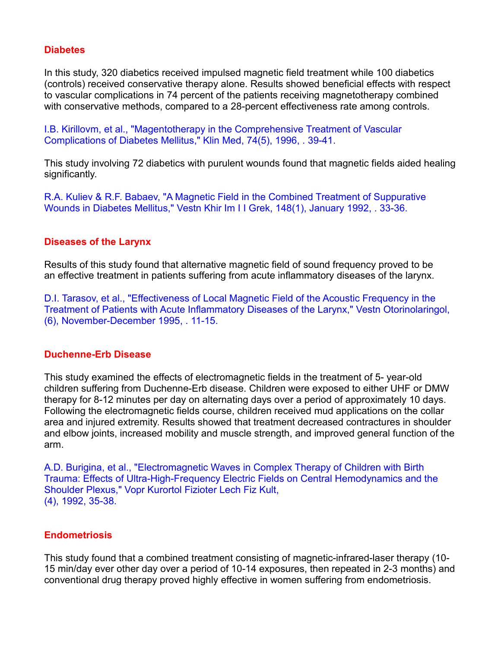## **Diabetes**

In this study, 320 diabetics received impulsed magnetic field treatment while 100 diabetics (controls) received conservative therapy alone. Results showed beneficial effects with respect to vascular complications in 74 percent of the patients receiving magnetotherapy combined with conservative methods, compared to a 28-percent effectiveness rate among controls.

I.B. Kirillovm, et al., "Magentotherapy in the Comprehensive Treatment of Vascular Complications of Diabetes Mellitus," Klin Med, 74(5), 1996, . 39-41.

This study involving 72 diabetics with purulent wounds found that magnetic fields aided healing significantly.

R.A. Kuliev & R.F. Babaev, "A Magnetic Field in the Combined Treatment of Suppurative Wounds in Diabetes Mellitus," Vestn Khir Im I I Grek, 148(1), January 1992, . 33-36.

## **Diseases of the Larynx**

Results of this study found that alternative magnetic field of sound frequency proved to be an effective treatment in patients suffering from acute inflammatory diseases of the larynx.

D.I. Tarasov, et al., "Effectiveness of Local Magnetic Field of the Acoustic Frequency in the Treatment of Patients with Acute Inflammatory Diseases of the Larynx," Vestn Otorinolaringol, (6), November-December 1995, . 11-15.

#### **Duchenne-Erb Disease**

This study examined the effects of electromagnetic fields in the treatment of 5- year-old children suffering from Duchenne-Erb disease. Children were exposed to either UHF or DMW therapy for 8-12 minutes per day on alternating days over a period of approximately 10 days. Following the electromagnetic fields course, children received mud applications on the collar area and injured extremity. Results showed that treatment decreased contractures in shoulder and elbow joints, increased mobility and muscle strength, and improved general function of the arm.

A.D. Burigina, et al., "Electromagnetic Waves in Complex Therapy of Children with Birth Trauma: Effects of Ultra-High-Frequency Electric Fields on Central Hemodynamics and the Shoulder Plexus," Vopr Kurortol Fizioter Lech Fiz Kult, (4), 1992, 35-38.

## **Endometriosis**

This study found that a combined treatment consisting of magnetic-infrared-laser therapy (10- 15 min/day ever other day over a period of 10-14 exposures, then repeated in 2-3 months) and conventional drug therapy proved highly effective in women suffering from endometriosis.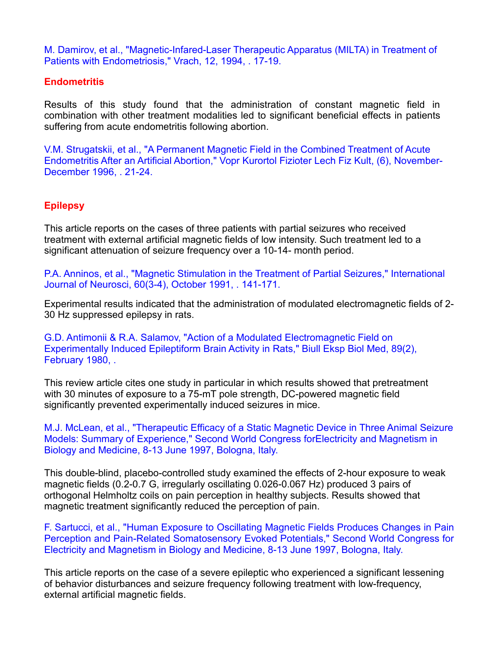M. Damirov, et al., "Magnetic-Infared-Laser Therapeutic Apparatus (MILTA) in Treatment of Patients with Endometriosis," Vrach, 12, 1994, . 17-19.

#### **Endometritis**

Results of this study found that the administration of constant magnetic field in combination with other treatment modalities led to significant beneficial effects in patients suffering from acute endometritis following abortion.

V.M. Strugatskii, et al., "A Permanent Magnetic Field in the Combined Treatment of Acute Endometritis After an Artificial Abortion," Vopr Kurortol Fizioter Lech Fiz Kult, (6), November- December 1996, . 21-24.

# **Epilepsy**

This article reports on the cases of three patients with partial seizures who received treatment with external artificial magnetic fields of low intensity. Such treatment led to a significant attenuation of seizure frequency over a 10-14- month period.

P.A. Anninos, et al., "Magnetic Stimulation in the Treatment of Partial Seizures," International Journal of Neurosci, 60(3-4), October 1991, . 141-171.

Experimental results indicated that the administration of modulated electromagnetic fields of 2- 30 Hz suppressed epilepsy in rats.

G.D. Antimonii & R.A. Salamov, "Action of a Modulated Electromagnetic Field on Experimentally Induced Epileptiform Brain Activity in Rats," Biull Eksp Biol Med, 89(2), February 1980, .

This review article cites one study in particular in which results showed that pretreatment with 30 minutes of exposure to a 75-mT pole strength, DC-powered magnetic field significantly prevented experimentally induced seizures in mice.

M.J. McLean, et al., "Therapeutic Efficacy of a Static Magnetic Device in Three Animal Seizure Models: Summary of Experience," Second World Congress forElectricity and Magnetism in Biology and Medicine, 8-13 June 1997, Bologna, Italy.

This double-blind, placebo-controlled study examined the effects of 2-hour exposure to weak magnetic fields (0.2-0.7 G, irregularly oscillating 0.026-0.067 Hz) produced 3 pairs of orthogonal Helmholtz coils on pain perception in healthy subjects. Results showed that magnetic treatment significantly reduced the perception of pain.

F. Sartucci, et al., "Human Exposure to Oscillating Magnetic Fields Produces Changes in Pain Perception and Pain-Related Somatosensory Evoked Potentials," Second World Congress for Electricity and Magnetism in Biology and Medicine, 8-13 June 1997, Bologna, Italy.

This article reports on the case of a severe epileptic who experienced a significant lessening of behavior disturbances and seizure frequency following treatment with low-frequency, external artificial magnetic fields.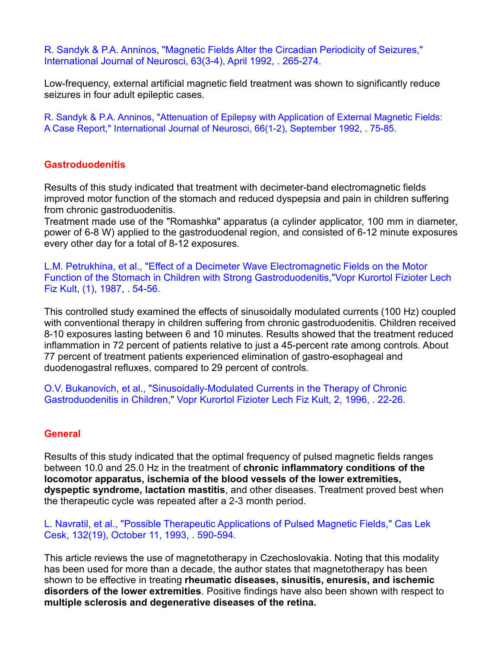R. Sandyk & P.A. Anninos, "Magnetic Fields Alter the Circadian Periodicity of Seizures," International Journal of Neurosci, 63(3-4), April 1992, . 265-274.

Low-frequency, external artificial magnetic field treatment was shown to significantly reduce seizures in four adult epileptic cases.

R. Sandyk & P.A. Anninos, "Attenuation of Epilepsy with Application of External Magnetic Fields: A Case Report," International Journal of Neurosci, 66(1-2), September 1992, . 75-85.

#### **Gastroduodenitis**

Results of this study indicated that treatment with decimeter-band electromagnetic fields improved motor function of the stomach and reduced dyspepsia and pain in children suffering from chronic gastroduodenitis.

Treatment made use of the "Romashka" apparatus (a cylinder applicator, 100 mm in diameter, power of 6-8 W) applied to the gastroduodenal region, and consisted of 6-12 minute exposures every other day for a total of 8-12 exposures.

L.M. Petrukhina, et al., "Effect of a Decimeter Wave Electromagnetic Fields on the Motor Function of the Stomach in Children with Strong Gastroduodenitis,"Vopr Kurortol Fizioter Lech Fiz Kult, (1), 1987, . 54-56.

This controlled study examined the effects of sinusoidally modulated currents (100 Hz) coupled with conventional therapy in children suffering from chronic gastroduodenitis. Children received 8-10 exposures lasting between 6 and 10 minutes. Results showed that the treatment reduced inflammation in 72 percent of patients relative to just a 45-percent rate among controls. About 77 percent of treatment patients experienced elimination of gastro-esophageal and duodenogastral refluxes, compared to 29 percent of controls.

O.V. Bukanovich, et al., "Sinusoidally-Modulated Currents in the Therapy of Chronic Gastroduodenitis in Children," Vopr Kurortol Fizioter Lech Fiz Kult, 2, 1996, . 22-26.

## **General**

Results of this study indicated that the optimal frequency of pulsed magnetic fields ranges between 10.0 and 25.0 Hz in the treatment of **chronic inflammatory conditions of the locomotor apparatus, ischemia of the blood vessels of the lower extremities, dyspeptic syndrome, lactation mastitis**, and other diseases. Treatment proved best when the therapeutic cycle was repeated after a 2-3 month period.

L. Navratil, et al., "Possible Therapeutic Applications of Pulsed Magnetic Fields," Cas Lek Cesk, 132(19), October 11, 1993, . 590-594.

This article reviews the use of magnetotherapy in Czechoslovakia. Noting that this modality has been used for more than a decade, the author states that magnetotherapy has been shown to be effective in treating **rheumatic diseases, sinusitis, enuresis, and ischemic disorders of the lower extremities**. Positive findings have also been shown with respect to **multiple sclerosis and degenerative diseases of the retina.**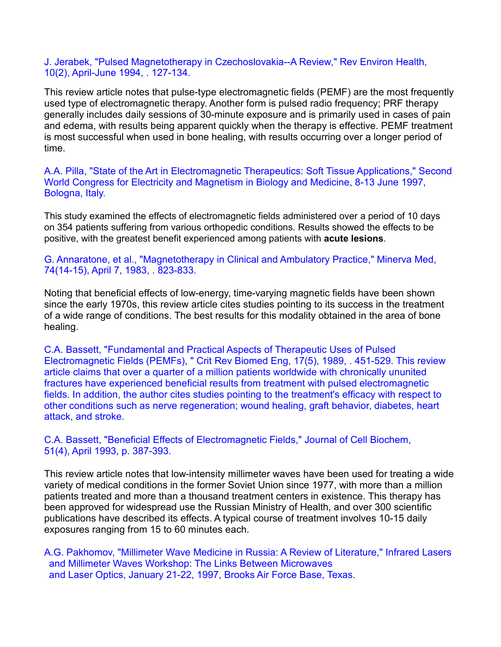J. Jerabek, "Pulsed Magnetotherapy in Czechoslovakia--A Review," Rev Environ Health, 10(2), April-June 1994, . 127-134.

This review article notes that pulse-type electromagnetic fields (PEMF) are the most frequently used type of electromagnetic therapy. Another form is pulsed radio frequency; PRF therapy generally includes daily sessions of 30-minute exposure and is primarily used in cases of pain and edema, with results being apparent quickly when the therapy is effective. PEMF treatment is most successful when used in bone healing, with results occurring over a longer period of time.

A.A. Pilla, "State of the Art in Electromagnetic Therapeutics: Soft Tissue Applications," Second World Congress for Electricity and Magnetism in Biology and Medicine, 8-13 June 1997, Bologna, Italy.

This study examined the effects of electromagnetic fields administered over a period of 10 days on 354 patients suffering from various orthopedic conditions. Results showed the effects to be positive, with the greatest benefit experienced among patients with **acute lesions**.

G. Annaratone, et al., "Magnetotherapy in Clinical and Ambulatory Practice," Minerva Med, 74(14-15), April 7, 1983, . 823-833.

Noting that beneficial effects of low-energy, time-varying magnetic fields have been shown since the early 1970s, this review article cites studies pointing to its success in the treatment of a wide range of conditions. The best results for this modality obtained in the area of bone healing.

C.A. Bassett, "Fundamental and Practical Aspects of Therapeutic Uses of Pulsed Electromagnetic Fields (PEMFs), " Crit Rev Biomed Eng, 17(5), 1989, . 451-529. This review article claims that over a quarter of a million patients worldwide with chronically ununited fractures have experienced beneficial results from treatment with pulsed electromagnetic fields. In addition, the author cites studies pointing to the treatment's efficacy with respect to other conditions such as nerve regeneration; wound healing, graft behavior, diabetes, heart attack, and stroke.

C.A. Bassett, "Beneficial Effects of Electromagnetic Fields," Journal of Cell Biochem, 51(4), April 1993, p. 387-393.

This review article notes that low-intensity millimeter waves have been used for treating a wide variety of medical conditions in the former Soviet Union since 1977, with more than a million patients treated and more than a thousand treatment centers in existence. This therapy has been approved for widespread use the Russian Ministry of Health, and over 300 scientific publications have described its effects. A typical course of treatment involves 10-15 daily exposures ranging from 15 to 60 minutes each.

A.G. Pakhomov, "Millimeter Wave Medicine in Russia: A Review of Literature," Infrared Lasers and Millimeter Waves Workshop: The Links Between Microwaves and Laser Optics, January 21-22, 1997, Brooks Air Force Base, Texas.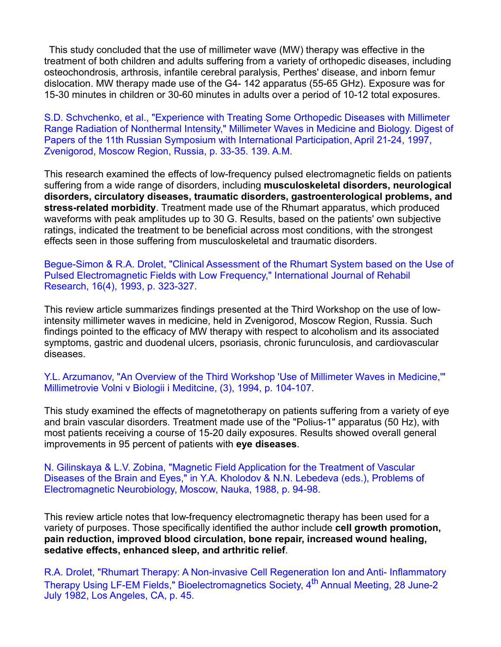This study concluded that the use of millimeter wave (MW) therapy was effective in the treatment of both children and adults suffering from a variety of orthopedic diseases, including osteochondrosis, arthrosis, infantile cerebral paralysis, Perthes' disease, and inborn femur dislocation. MW therapy made use of the G4- 142 apparatus (55-65 GHz). Exposure was for 15-30 minutes in children or 30-60 minutes in adults over a period of 10-12 total exposures.

S.D. Schvchenko, et al., "Experience with Treating Some Orthopedic Diseases with Millimeter Range Radiation of Nonthermal Intensity," Millimeter Waves in Medicine and Biology. Digest of Papers of the 11th Russian Symposium with International Participation, April 21-24, 1997, Zvenigorod, Moscow Region, Russia, p.33-35. 139. A.M.

This research examined the effects of low-frequency pulsed electromagnetic fields on patients suffering from a wide range of disorders, including **musculoskeletal disorders, neurological disorders, circulatory diseases, traumatic disorders, gastroenterological problems, and stress-related morbidity**. Treatment made use of the Rhumart apparatus, which produced waveforms with peak amplitudes up to 30 G. Results, based on the patients' own subjective ratings, indicated the treatment to be beneficial across most conditions, with the strongest effects seen in those suffering from musculoskeletal and traumatic disorders.

Begue-Simon & R.A. Drolet, "Clinical Assessment of the Rhumart System based on the Use of Pulsed Electromagnetic Fields with Low Frequency," International Journal of Rehabil Research, 16(4), 1993, p. 323-327.

This review article summarizes findings presented at the Third Workshop on the use of lowintensity millimeter waves in medicine, held in Zvenigorod, Moscow Region, Russia. Such findings pointed to the efficacy of MW therapy with respect to alcoholism and its associated symptoms, gastric and duodenal ulcers, psoriasis, chronic furunculosis, and cardiovascular diseases.

Y.L. Arzumanov, "An Overview of the Third Workshop 'Use of Millimeter Waves in Medicine,'" Millimetrovie Volni v Biologii i Meditcine, (3), 1994, p. 104-107.

This study examined the effects of magnetotherapy on patients suffering from a variety of eye and brain vascular disorders. Treatment made use of the "Polius-1" apparatus (50 Hz), with most patients receiving a course of 15-20 daily exposures. Results showed overall general improvements in 95 percent of patients with **eye diseases**.

N. Gilinskaya & L.V. Zobina, "Magnetic Field Application for the Treatment of Vascular Diseases of the Brain and Eyes," in Y.A. Kholodov & N.N. Lebedeva (eds.), Problems of Electromagnetic Neurobiology, Moscow, Nauka, 1988, p. 94-98.

This review article notes that low-frequency electromagnetic therapy has been used for a variety of purposes. Those specifically identified the author include **cell growth promotion, pain reduction, improved blood circulation, bone repair, increased wound healing, sedative effects, enhanced sleep, and arthritic relief**.

R.A. Drolet, "Rhumart Therapy: A Non-invasive Cell Regeneration Ion and Anti-Inflammatory Therapy Using LF-EM Fields," Bioelectromagnetics Society, 4<sup>th</sup> Annual Meeting, 28 June-2 July 1982, Los Angeles, CA, p. 45.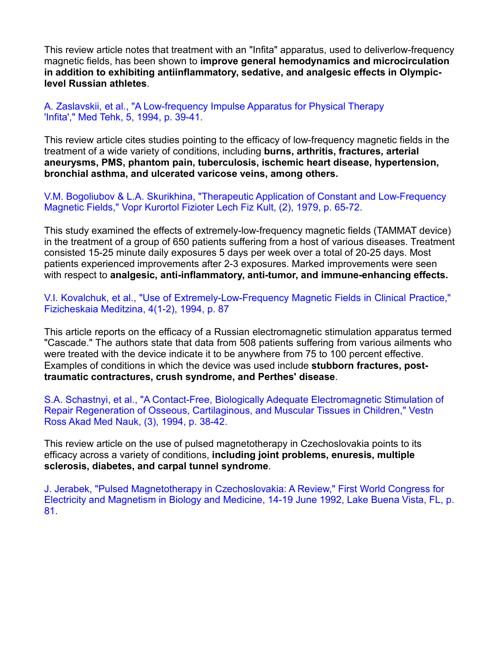This review article notes that treatment with an "Infita" apparatus, used to deliverlow-frequency magnetic fields, has been shown to **improve general hemodynamics and microcirculation in addition to exhibiting antiinflammatory, sedative, and analgesic effects in Olympiclevel Russian athletes**.

A. Zaslavskii, et al., "A Low-frequency Impulse Apparatus for Physical Therapy 'Infita'," Med Tehk, 5, 1994, p. 39-41.

This review article cites studies pointing to the efficacy of low-frequency magnetic fields in the treatment of a wide variety of conditions, including **burns, arthritis, fractures, arterial aneurysms, PMS, phantom pain, tuberculosis, ischemic heart disease, hypertension, bronchial asthma, and ulcerated varicose veins, among others.**

V.M. Bogoliubov & L.A. Skurikhina, "Therapeutic Application of Constant and Low-Frequency Magnetic Fields," Vopr Kurortol Fizioter Lech Fiz Kult, (2), 1979, p. 65-72.

This study examined the effects of extremely-low-frequency magnetic fields (TAMMAT device) in the treatment of a group of 650 patients suffering from a host of various diseases. Treatment consisted 15-25 minute daily exposures 5 days per week over a totalof 20-25 days. Most patients experienced improvements after 2-3 exposures. Marked improvements were seen with respect to **analgesic, anti-inflammatory, anti-tumor, and immune-enhancing effects.**

V.I. Kovalchuk, et al., "Use of Extremely-Low-Frequency Magnetic Fields in Clinical Practice," Fizicheskaia Meditzina, 4(1-2), 1994, p. 87

This article reports on the efficacy of a Russian electromagnetic stimulation apparatus termed "Cascade." The authors state that data from 508 patients suffering from various ailments who were treated with the device indicate it to be anywhere from 75 to 100 percent effective. Examples of conditions in which the device was used include **stubborn fractures, posttraumatic contractures, crush syndrome, and Perthes' disease**.

S.A. Schastnyi, et al., "A Contact-Free, Biologically Adequate Electromagnetic Stimulation of Repair Regeneration of Osseous, Cartilaginous, and Muscular Tissues in Children," Vestn Ross Akad Med Nauk, (3), 1994, p. 38-42.

This review article on the use of pulsed magnetotherapy in Czechoslovakia points to its efficacy across a variety of conditions, **including joint problems, enuresis, multiple sclerosis, diabetes, and carpal tunnel syndrome**.

J. Jerabek, "Pulsed Magnetotherapy in Czechoslovakia: A Review," First World Congress for Electricity and Magnetism in Biology and Medicine, 14-19 June 1992, Lake Buena Vista, FL, p. 81.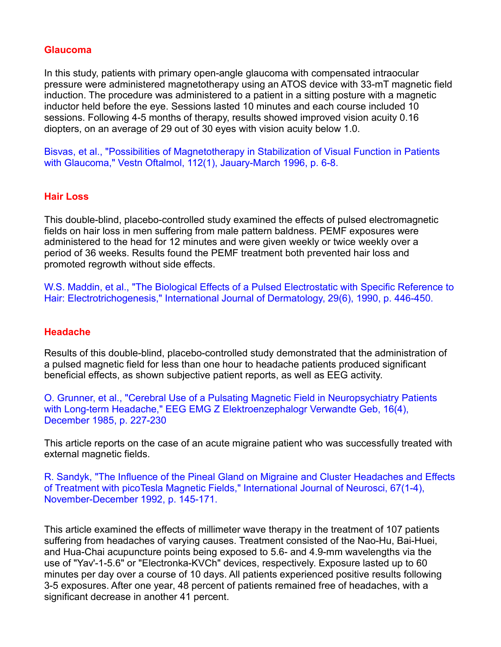#### **Glaucoma**

In this study, patients with primary open-angle glaucoma with compensated intraocular pressure were administered magnetotherapy using an ATOS device with 33-mT magnetic field induction. The procedure was administered to a patient in a sitting posture with a magnetic inductor held before the eye. Sessions lasted 10 minutes and each course included 10 sessions. Following 4-5 months of therapy, results showed improved vision acuity 0.16 diopters, on an average of 29 out of 30 eyes with vision acuity below 1.0.

Bisvas, et al., "Possibilities of Magnetotherapy in Stabilization of Visual Function in Patients with Glaucoma," Vestn Oftalmol, 112(1), Jauary-March 1996, p. 6-8.

#### **Hair Loss**

This double-blind, placebo-controlled study examined the effects of pulsed electromagnetic fields on hair loss in men suffering from male pattern baldness. PEMF exposures were administered to the head for 12 minutes and were given weekly or twice weekly over a period of 36 weeks. Results found the PEMF treatment both prevented hair loss and promoted regrowth without side effects.

W.S. Maddin, et al., "The Biological Effects of a Pulsed Electrostatic with Specific Reference to Hair: Electrotrichogenesis," International Journal of Dermatology, 29(6), 1990, p. 446-450.

#### **Headache**

Results of this double-blind, placebo-controlled study demonstrated that the administration of a pulsed magnetic field for less than one hour to headache patients produced significant beneficial effects, as shown subjective patient reports, as well as EEG activity.

O. Grunner, et al., "Cerebral Use of a Pulsating Magnetic Field in Neuropsychiatry Patients with Long-term Headache," EEG EMG Z Elektroenzephalogr Verwandte Geb, 16(4), December 1985, p. 227-230

This article reports on the case of an acute migraine patient who was successfully treated with external magnetic fields.

R. Sandyk, "The Influence of the Pineal Gland on Migraine and Cluster Headaches and Effects of Treatment with picoTesla Magnetic Fields," International Journal of Neurosci, 67(1-4), November-December 1992, p. 145-171.

This article examined the effects of millimeter wave therapy in the treatment of 107 patients suffering from headaches of varying causes. Treatment consisted of the Nao-Hu, Bai-Huei, and Hua-Chai acupuncture points being exposed to 5.6- and 4.9-mm wavelengths via the use of "Yav'-1-5.6" or "Electronka-KVCh" devices, respectively. Exposure lasted up to 60 minutes per day over a course of 10 days. All patients experienced positive results following 3-5 exposures. After one year, 48 percent of patients remained free of headaches, with a significant decrease in another 41 percent.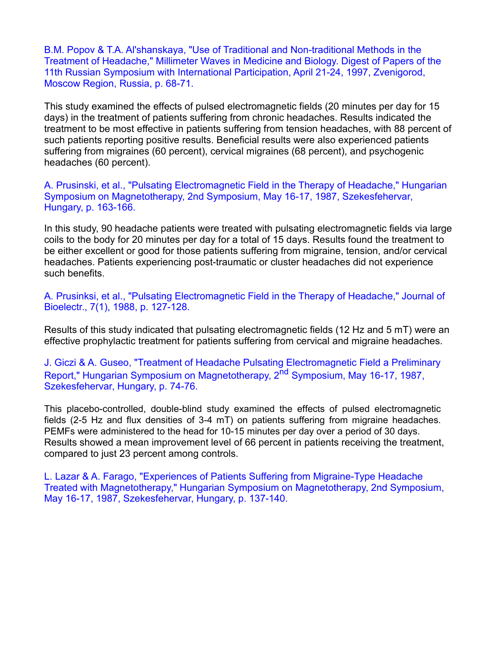B.M. Popov & T.A. Al'shanskaya, "Use of Traditional and Non-traditional Methods in the Treatment of Headache," Millimeter Waves in Medicine and Biology. Digest of Papers of the 11th Russian Symposium with International Participation, April 21-24, 1997, Zvenigorod, Moscow Region, Russia, p. 68-71.

This study examined the effects of pulsed electromagnetic fields (20 minutes per day for 15 days) in the treatment of patients suffering from chronic headaches. Results indicated the treatment to be most effective in patients suffering from tension headaches, with 88 percent of such patients reporting positive results. Beneficial results were also experienced patients suffering from migraines (60 percent), cervical migraines (68 percent), and psychogenic headaches (60 percent).

A. Prusinski, et al., "Pulsating Electromagnetic Field in the Therapy of Headache," Hungarian Symposium on Magnetotherapy, 2nd Symposium, May 16-17, 1987, Szekesfehervar, Hungary, p. 163-166.

In this study, 90 headache patients were treated with pulsating electromagnetic fields via large coils to the body for 20 minutes per day for a total of 15 days. Results found the treatment to be either excellent or good for those patients suffering from migraine, tension, and/or cervical headaches. Patients experiencing post-traumatic or cluster headaches did not experience such benefits.

A. Prusinksi, et al., "Pulsating Electromagnetic Field in the Therapy of Headache," Journal of Bioelectr., 7(1), 1988, p. 127-128.

Results of this study indicated that pulsating electromagnetic fields (12 Hz and 5 mT) were an effective prophylactic treatment for patients suffering from cervical and migraine headaches.

J. Giczi & A. Guseo, "Treatment of Headache Pulsating Electromagnetic Field a Preliminary Report," Hungarian Symposium on Magnetotherapy, 2<sup>nd</sup> Symposium, May 16-17, 1987, Szekesfehervar, Hungary, p. 74-76.

This placebo-controlled, double-blind study examined the effects of pulsed electromagnetic fields (2-5 Hz and flux densities of 3-4 mT) on patients suffering from migraine headaches. PEMFs were administered to the head for 10-15 minutes per day over a period of 30 days. Results showed a mean improvement level of 66 percent in patients receiving the treatment, compared to just 23 percent among controls.

L. Lazar & A. Farago, "Experiences of Patients Suffering from Migraine-Type Headache Treated with Magnetotherapy," Hungarian Symposium on Magnetotherapy, 2nd Symposium, May 16-17, 1987, Szekesfehervar, Hungary, p. 137-140.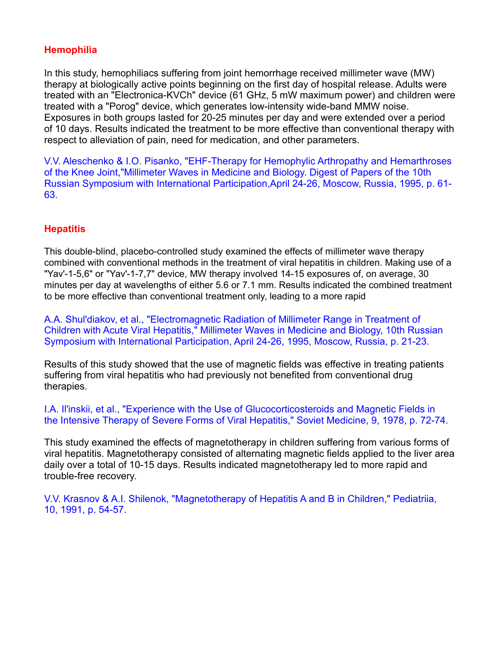# **Hemophilia**

In this study, hemophiliacs suffering from joint hemorrhage received millimeter wave (MW) therapy at biologically active points beginning on the first day of hospital release. Adults were treated with an "Electronica-KVCh" device (61 GHz, 5 mW maximum power) and children were treated with a "Porog" device, which generates low-intensity wide-band MMW noise. Exposures in both groups lasted for 20-25 minutes per day and were extended over a period of 10 days. Results indicated the treatment to be more effective than conventional therapy with respect to alleviation of pain, need for medication, and other parameters.

V.V. Aleschenko & I.O. Pisanko, "EHF-Therapy for Hemophylic Arthropathy and Hemarthroses of the Knee Joint,"Millimeter Waves in Medicine and Biology. Digest of Papers of the 10th Russian Symposium with International Participation,April 24-26, Moscow, Russia, 1995, p. 61- 63.

# **Hepatitis**

This double-blind, placebo-controlled study examined the effects of millimeter wave therapy combined with conventional methods in the treatment of viral hepatitis in children. Making use of a "Yav'-1-5,6" or "Yav'-1-7,7" device, MW therapy involved 14-15 exposures of, on average, 30 minutes per day at wavelengths of either 5.6 or 7.1 mm. Results indicated the combined treatment to be more effective than conventional treatment only, leading to a more rapid

A.A. Shul'diakov, et al., "Electromagnetic Radiation of Millimeter Range in Treatment of Children with Acute Viral Hepatitis," Millimeter Waves in Medicine and Biology, 10th Russian Symposium with International Participation, April 24-26, 1995, Moscow, Russia, p. 21-23.

Results of this study showed that the use of magnetic fields was effective in treating patients suffering from viral hepatitis who had previously not benefited from conventional drug therapies.

I.A. Il'inskii, et al., "Experience with the Use of Glucocorticosteroids and Magnetic Fields in the Intensive Therapy of Severe Forms of Viral Hepatitis," Soviet Medicine, 9, 1978, p. 72-74.

This study examined the effects of magnetotherapy in children suffering from various formsof viral hepatitis. Magnetotherapy consisted of alternating magnetic fields applied to the liver area daily over a total of 10-15 days. Results indicated magnetotherapy led to more rapid and trouble-free recovery.

V.V. Krasnov & A.I. Shilenok, "Magnetotherapy of Hepatitis A and B in Children," Pediatriia, 10, 1991, p. 54-57.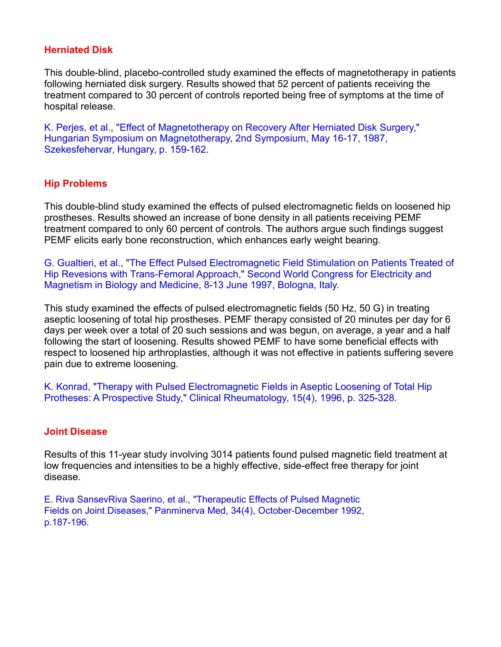## **Herniated Disk**

This double-blind, placebo-controlled study examined the effects of magnetotherapy in patients following herniated disk surgery. Results showed that 52 percent of patients receiving the treatment compared to 30 percent of controls reported being free of symptoms at the time of hospital release.

K. Perjes, et al., "Effect of Magnetotherapy on Recovery After Herniated Disk Surgery," Hungarian Symposium on Magnetotherapy, 2nd Symposium, May 16-17, 1987, Szekesfehervar, Hungary, p. 159-162.

# **Hip Problems**

This double-blind study examined the effects of pulsed electromagnetic fields on loosened hip prostheses. Results showed an increase of bone density in all patients receiving PEMF treatment compared to only 60 percent of controls. The authors argue such findings suggest PEMF elicits early bone reconstruction, which enhances early weight bearing.

G. Gualtieri, et al., "The Effect Pulsed Electromagnetic Field Stimulation on Patients Treated of Hip Revesions with Trans-Femoral Approach," Second World Congress for Electricity and Magnetism in Biology and Medicine, 8-13 June 1997, Bologna, Italy.

This study examined the effects of pulsed electromagnetic fields (50 Hz, 50 G) in treating aseptic loosening of total hip prostheses. PEMF therapy consisted of 20 minutes per day for 6 days per week over a total of 20 such sessions and was begun, on average, a year and a half following the start of loosening. Results showed PEMF to have some beneficial effects with respect to loosened hip arthroplasties, although it was not effective in patients suffering severe pain due to extreme loosening.

K. Konrad, "Therapy with Pulsed Electromagnetic Fields in Aseptic Loosening of Total Hip Protheses: A Prospective Study," Clinical Rheumatology, 15(4), 1996, p. 325-328.

## **Joint Disease**

Results of this 11-year study involving 3014 patients found pulsed magnetic field treatment at low frequencies and intensities to be a highly effective, side-effect free therapy for joint disease.

E. Riva SansevRiva Saerino, et al., "Therapeutic Effects of Pulsed Magnetic Fields on Joint Diseases," Panminerva Med, 34(4), October-December 1992, p.187-196.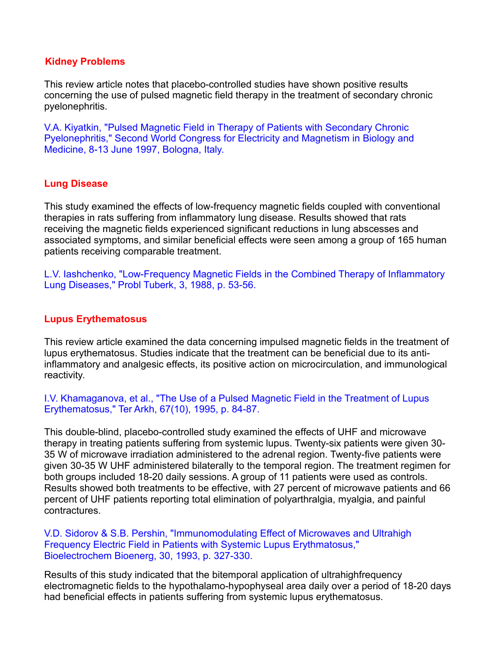#### **Kidney Problems**

This review article notes that placebo-controlled studies have shown positive results concerning the use of pulsed magnetic field therapy in the treatment of secondary chronic pyelonephritis.

V.A. Kiyatkin, "Pulsed Magnetic Field in Therapy of Patients with Secondary Chronic Pyelonephritis," Second World Congress for Electricity and Magnetism in Biology and Medicine, 8-13 June 1997, Bologna, Italy.

## **Lung Disease**

This study examined the effects of low-frequency magnetic fields coupled with conventional therapies in rats suffering from inflammatory lung disease. Results showed that rats receiving the magnetic fields experienced significant reductions in lung abscesses and associated symptoms, and similar beneficial effects were seen among a group of 165 human patients receiving comparable treatment.

L.V. Iashchenko, "Low-Frequency Magnetic Fields in the Combined Therapy of Inflammatory Lung Diseases," Probl Tuberk, 3, 1988, p. 53-56.

## **Lupus Erythematosus**

This review article examined the data concerning impulsed magnetic fields in the treatment of lupus erythematosus. Studies indicate that the treatment can be beneficial due to its antiinflammatory and analgesic effects, its positive action on microcirculation, and immunological reactivity.

I.V. Khamaganova, et al., "The Use of a Pulsed Magnetic Field in the Treatment of Lupus Erythematosus," Ter Arkh, 67(10), 1995, p. 84-87.

This double-blind, placebo-controlled study examined the effects of UHF and microwave therapy in treating patients suffering from systemic lupus. Twenty-six patients were given 30- 35 W of microwave irradiation administered to the adrenal region. Twenty-five patients were given 30-35 W UHF administered bilaterally to the temporal region. The treatment regimen for both groups included 18-20 daily sessions. A group of 11 patients were used as controls. Results showed both treatments to be effective, with 27 percent of microwave patients and 66 percent of UHF patients reporting total elimination of polyarthralgia, myalgia, and painful contractures.

V.D. Sidorov & S.B. Pershin, "Immunomodulating Effect of Microwaves and Ultrahigh Frequency Electric Field in Patients with Systemic Lupus Erythmatosus," Bioelectrochem Bioenerg, 30, 1993, p. 327-330.

Results of this study indicated that the bitemporal application of ultrahighfrequency electromagnetic fields to the hypothalamo-hypophyseal area daily over a period of 18-20 days had beneficial effects in patients suffering from systemic lupus erythematosus.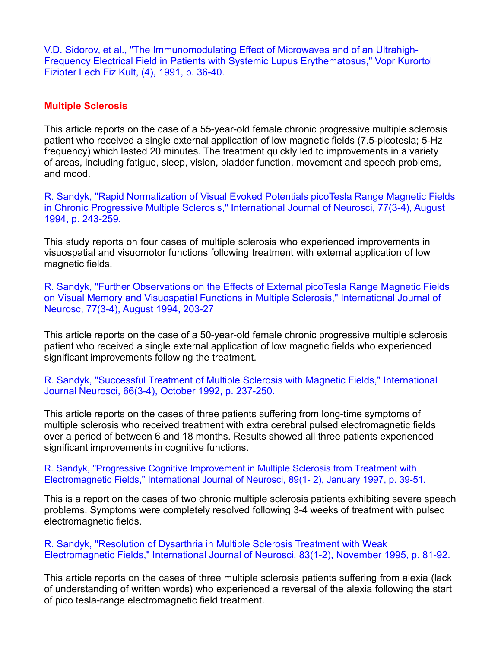V.D. Sidorov, et al., "The Immunomodulating Effect of Microwaves and of an Ultrahigh- Frequency Electrical Field in Patients with Systemic Lupus Erythematosus," Vopr Kurortol Fizioter Lech Fiz Kult, (4), 1991, p. 36-40.

#### **Multiple Sclerosis**

This article reports on the case of a 55-year-old female chronic progressive multiple sclerosis patient who received a single external application of low magnetic fields (7.5-picotesla; 5-Hz frequency) which lasted 20 minutes. The treatment quickly led to improvements in a variety of areas, including fatigue, sleep, vision, bladder function, movement and speech problems, and mood.

R. Sandyk, "Rapid Normalization of Visual Evoked Potentials picoTesla Range Magnetic Fields in Chronic Progressive Multiple Sclerosis," International Journal of Neurosci, 77(3-4), August 1994, p. 243-259.

This study reports on four cases of multiple sclerosis who experienced improvements in visuospatial and visuomotor functions following treatment with external application of low magnetic fields.

R. Sandyk, "Further Observations on the Effects of External picoTesla Range Magnetic Fields on Visual Memory and Visuospatial Functions in Multiple Sclerosis," International Journal of Neurosc, 77(3-4), August 1994, 203-27

This article reports on the case of a 50-year-old female chronic progressive multiple sclerosis patient who received a single external application of low magnetic fields who experienced significant improvements following the treatment.

R. Sandyk, "Successful Treatment of Multiple Sclerosis with Magnetic Fields," International Journal Neurosci, 66(3-4), October 1992, p. 237-250.

This article reports on the cases of three patients suffering from long-time symptoms of multiple sclerosis who received treatment with extra cerebral pulsed electromagnetic fields over a period of between 6 and 18 months. Results showed all three patients experienced significant improvements in cognitive functions.

R. Sandyk, "Progressive Cognitive Improvement in Multiple Sclerosis from Treatment with Electromagnetic Fields," International Journal of Neurosci, 89(1- 2), January 1997, p. 39-51.

This is a report on the cases of two chronic multiple sclerosis patients exhibiting severe speech problems. Symptoms were completely resolved following 3-4 weeks of treatment with pulsed electromagnetic fields.

R. Sandyk, "Resolution of Dysarthria in Multiple Sclerosis Treatment with Weak Electromagnetic Fields," International Journal of Neurosci, 83(1-2), November 1995, p. 81-92.

This article reports on the cases of three multiple sclerosis patients suffering from alexia (lack of understanding of written words) who experienced a reversal of the alexia following the start of pico tesla-range electromagnetic field treatment.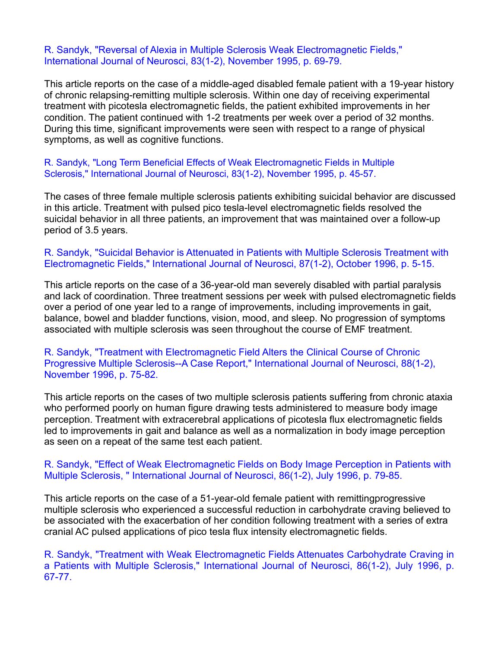#### R. Sandyk, "Reversal of Alexia in Multiple Sclerosis Weak Electromagnetic Fields," International Journal of Neurosci, 83(1-2), November 1995, p. 69-79.

This article reports on the case of a middle-aged disabled female patient with a 19-year history of chronic relapsing-remitting multiple sclerosis. Within one day of receiving experimental treatment with picotesla electromagnetic fields, the patient exhibited improvements in her condition. The patient continued with 1-2 treatments per week over a period of 32 months. During this time, significant improvements were seen with respect to a range of physical symptoms, as well as cognitive functions.

#### R. Sandyk, "Long Term Beneficial Effects of Weak Electromagnetic Fields in Multiple Sclerosis," International Journal of Neurosci, 83(1-2), November 1995, p. 45-57.

The cases of three female multiple sclerosis patients exhibiting suicidal behavior are discussed in this article. Treatment with pulsed pico tesla-level electromagnetic fields resolved the suicidal behavior in all three patients, an improvement that was maintained over a follow-up period of 3.5 years.

#### R. Sandyk, "Suicidal Behavior is Attenuated in Patients with Multiple Sclerosis Treatment with Electromagnetic Fields," International Journal of Neurosci, 87(1-2), October 1996, p. 5-15.

This article reports on the case of a 36-year-old man severely disabled with partial paralysis and lack of coordination. Three treatment sessions per week with pulsed electromagnetic fields over a period of one year led to a range of improvements, including improvements in gait, balance, bowel and bladder functions, vision, mood, and sleep. No progression of symptoms associated with multiple sclerosis was seen throughout the course of EMF treatment.

#### R. Sandyk, "Treatment with Electromagnetic Field Alters the Clinical Course of Chronic Progressive Multiple Sclerosis--A Case Report," International Journal of Neurosci, 88(1-2), November 1996, p. 75-82.

This article reports on the cases of two multiple sclerosis patients suffering from chronic ataxia who performed poorly on human figure drawing tests administered to measure body image perception. Treatment with extracerebral applications of picotesla flux electromagnetic fields led to improvements in gait and balance as well as a normalization in body image perception as seen on a repeat of the same test each patient.

#### R. Sandyk, "Effect of Weak Electromagnetic Fields on Body Image Perception in Patients with Multiple Sclerosis, " International Journal of Neurosci, 86(1-2), July 1996, p. 79-85.

This article reports on the case of a 51-year-old female patient with remittingprogressive multiple sclerosis who experienced a successful reduction in carbohydrate craving believed to be associated with the exacerbation of her condition following treatment with a series of extra cranial AC pulsed applications of pico tesla flux intensity electromagnetic fields.

R. Sandyk, "Treatment with Weak Electromagnetic Fields Attenuates Carbohydrate Craving in a Patients with Multiple Sclerosis," International Journal of Neurosci, 86(1-2), July 1996, p. 67-77.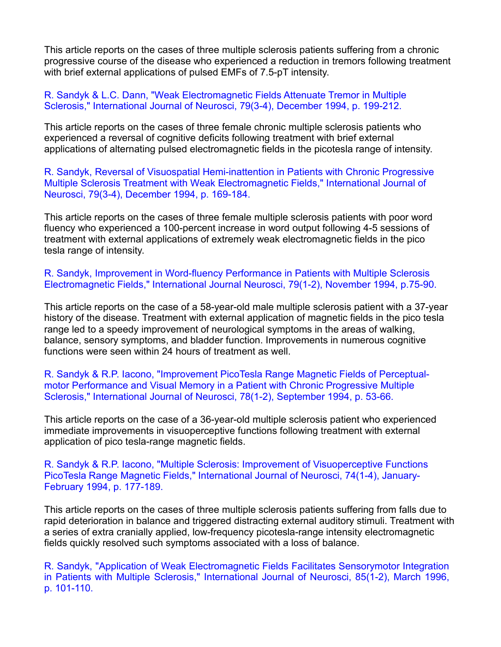This article reports on the cases of three multiple sclerosis patients suffering from a chronic progressive course of the disease who experienced a reduction in tremors following treatment with brief external applications of pulsed EMFs of 7.5-pT intensity.

R. Sandyk & L.C. Dann, "Weak Electromagnetic Fields Attenuate Tremor in Multiple Sclerosis," International Journal of Neurosci, 79(3-4), December 1994, p. 199-212.

This article reports on the cases of three female chronic multiple sclerosis patients who experienced a reversal of cognitive deficits following treatment with brief external applications of alternating pulsed electromagnetic fields in the picotesla range of intensity.<br>R. Sandyk, Reversal of Visuospatial Hemi-inattention in Patients with Chronic Progressive

Multiple Sclerosis Treatment with Weak Electromagnetic Fields," International Journal of Neurosci, 79(3-4), December 1994, p. 169-184.

This article reports on the cases of three female multiple sclerosis patients with poor word fluency who experienced a 100-percent increase in word output following 4-5 sessions of treatment with external applications of extremely weak electromagnetic fields in the pico

tesla range of intensity.<br>R. Sandyk, Improvement in Word-fluency Performance in Patients with Multiple Sclerosis Electromagnetic Fields," International Journal Neurosci, 79(1-2), November 1994, p.75-90.

This article reports on the case of a 58-year-old male multiple sclerosis patient with a 37-year history of the disease. Treatment with external application of magnetic fields in the pico tesla range led to a speedy improvement of neurological symptoms in the areas of walking, balance, sensory symptoms, and bladder function. Improvements in numerous cognitive functions were seen within 24 hours of treatment as well.

R. Sandyk & R.P. Iacono, "Improvement PicoTesla Range Magnetic Fields of Perceptual motor Performance and Visual Memory in a Patient with Chronic Progressive Multiple Sclerosis," International Journal of Neurosci, 78(1-2), September 1994, p. 53-66.

This article reports on the case of a 36-year-old multiple sclerosis patient who experienced immediate improvements in visuoperceptive functions following treatment with external application of pico tesla-range magnetic fields.

R. Sandyk & R.P. Iacono, "Multiple Sclerosis: Improvement of Visuoperceptive Functions PicoTesla Range Magnetic Fields," International Journal of Neurosci, 74(1-4), January- February 1994, p. 177-189.

This article reports on the cases of three multiple sclerosis patients suffering from falls due to rapid deterioration in balance and triggered distracting external auditory stimuli. Treatment with a series of extra cranially applied, low-frequency picotesla-range intensity electromagnetic fields quickly resolved such symptoms associated with a loss of balance.

R. Sandyk, "Application of Weak Electromagnetic Fields Facilitates Sensorymotor Integration in Patients with Multiple Sclerosis," International Journal of Neurosci, 85(1-2), March 1996, p. 101-110.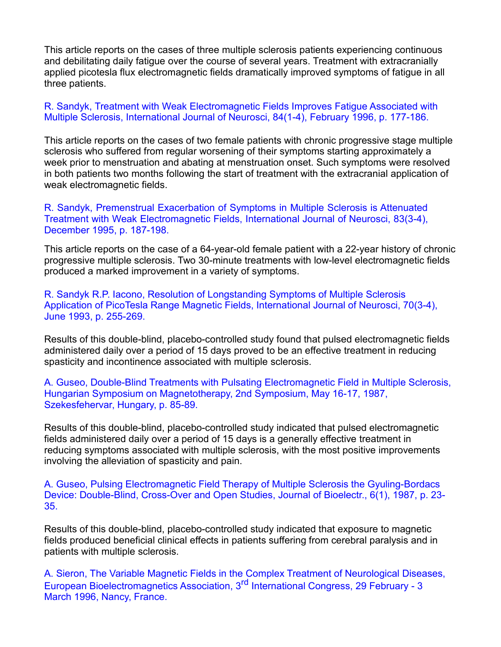This article reports on the cases of three multiple sclerosis patients experiencing continuous and debilitating daily fatigue over the course of several years. Treatment with extracranially applied picotesla flux electromagnetic fields dramatically improved symptoms of fatigue in all three patients.

#### R. Sandyk, Treatment with Weak Electromagnetic Fields Improves Fatigue Associated with Multiple Sclerosis, International Journal of Neurosci, 84(1-4), February 1996, p. 177-186.

This article reports on the cases of two female patients with chronic progressive stage multiple sclerosis who suffered from regular worsening of their symptoms starting approximately a week prior to menstruation and abating at menstruation onset. Such symptoms were resolved in both patients two months following the start of treatment with the extracranial application of weak electromagnetic fields.

R. Sandyk, Premenstrual Exacerbation of Symptoms in Multiple Sclerosis is Attenuated Treatment with Weak Electromagnetic Fields, International Journal of Neurosci, 83(3-4), December 1995, p. 187-198.

This article reports on the case of a 64-year-old female patient with a 22-year history of chronic progressive multiple sclerosis. Two 30-minute treatments with low-level electromagnetic fields produced a marked improvement in a variety of symptoms.

R. Sandyk R.P. Iacono, Resolution of Longstanding Symptoms of Multiple Sclerosis Application of PicoTesla Range Magnetic Fields, International Journal of Neurosci, 70(3-4), June 1993, p. 255-269.

Results of this double-blind, placebo-controlled study found that pulsed electromagnetic fields administered daily over a period of 15 days proved to be an effective treatment in reducing spasticity and incontinence associated with multiple sclerosis.

A. Guseo, Double-Blind Treatments with Pulsating Electromagnetic Field in Multiple Sclerosis, Hungarian Symposium on Magnetotherapy, 2nd Symposium, May 16-17, 1987, Szekesfehervar, Hungary, p. 85-89.

Results of this double-blind, placebo-controlled study indicated that pulsed electromagnetic fields administered daily over a period of 15 days is a generally effective treatment in reducing symptoms associated with multiple sclerosis, with the most positive improvements involving the alleviation of spasticity and pain.

A. Guseo, Pulsing Electromagnetic Field Therapy of Multiple Sclerosis the Gyuling-Bordacs Device: Double-Blind, Cross-Over and Open Studies, Journal of Bioelectr., 6(1), 1987, p. 23- 35.

Results of this double-blind, placebo-controlled study indicated that exposure to magnetic fields produced beneficial clinical effects in patients suffering from cerebral paralysis and in patients with multiple sclerosis.

A. Sieron, The Variable Magnetic Fields in the Complex Treatment of Neurological Diseases, European Bioelectromagnetics Association, 3<sup>rd</sup> International Congress, 29 February - 3 March 1996, Nancy, France.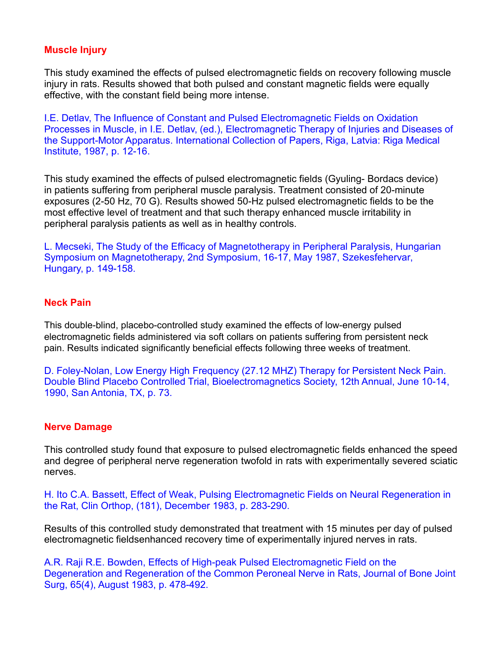## **Muscle Injury**

This study examined the effects of pulsed electromagnetic fields on recovery following muscle injury in rats. Results showed that both pulsed and constant magnetic fields were equally effective, with the constant field being more intense.

I.E. Detlav, The Influence of Constant and Pulsed Electromagnetic Fields on Oxidation Processes in Muscle, in I.E. Detlav, (ed.), Electromagnetic Therapy of Injuries and Diseases of the Support-Motor Apparatus. International Collection of Papers, Riga, Latvia: Riga Medical Institute, 1987, p. 12-16.

This study examined the effects of pulsed electromagnetic fields (Gyuling- Bordacs device) in patients suffering from peripheral muscle paralysis. Treatment consisted of 20-minute exposures (2-50 Hz, 70 G). Results showed 50-Hz pulsed electromagnetic fields to be the most effective level of treatment and that such therapy enhanced muscle irritability in peripheral paralysis patients as well as in healthy controls.

L. Mecseki, The Study of the Efficacy of Magnetotherapy in Peripheral Paralysis, Hungarian Symposium on Magnetotherapy, 2nd Symposium, 16-17, May 1987, Szekesfehervar, Hungary, p. 149-158.

## **Neck Pain**

This double-blind, placebo-controlled study examined the effects of low-energy pulsed electromagnetic fields administered via soft collars on patients suffering from persistent neck pain. Results indicated significantly beneficial effects following three weeks of treatment.

D. Foley-Nolan, Low Energy High Frequency (27.12 MHZ) Therapy for Persistent Neck Pain. Double Blind Placebo Controlled Trial, Bioelectromagnetics Society, 12th Annual, June 10-14, 1990, San Antonia, TX, p. 73.

## **Nerve Damage**

This controlled study found that exposure to pulsed electromagnetic fields enhanced the speed and degree of peripheral nerve regeneration twofold in rats with experimentally severed sciatic nerves.

H. Ito C.A. Bassett, Effect of Weak, Pulsing Electromagnetic Fields on Neural Regeneration in the Rat, Clin Orthop, (181), December 1983, p. 283-290.

Results of this controlled study demonstrated that treatment with 15 minutes per day of pulsed electromagnetic fieldsenhanced recovery time of experimentally injured nerves in rats.

A.R. Raji R.E. Bowden, Effects of High-peak Pulsed Electromagnetic Field on the Degeneration and Regeneration of the Common Peroneal Nerve in Rats, Journal of Bone Joint Surg, 65(4), August 1983, p. 478-492.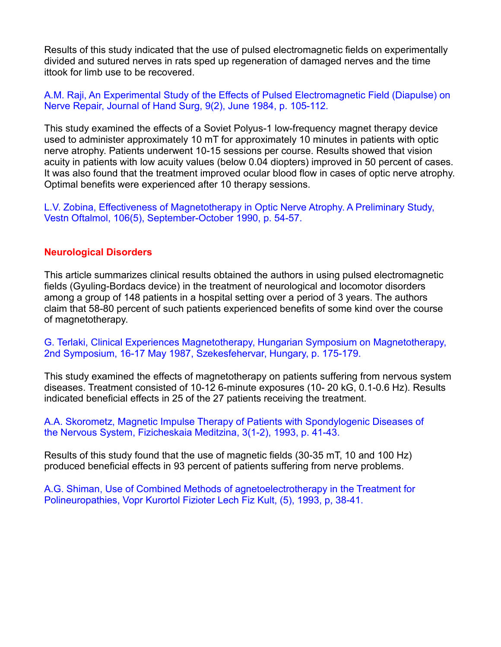Results of this study indicated that the use of pulsed electromagnetic fields on experimentally divided and sutured nerves in rats sped up regeneration of damaged nerves and the time ittook for limb use to be recovered.

A.M. Raji, An Experimental Study of the Effects of Pulsed Electromagnetic Field (Diapulse) on Nerve Repair, Journal of Hand Surg, 9(2), June 1984, p. 105-112.

This study examined the effects of a Soviet Polyus-1 low-frequency magnet therapy device used to administer approximately 10 mT for approximately 10 minutes in patients with optic nerve atrophy. Patients underwent 10-15 sessions per course. Results showed that vision acuity in patients with low acuity values (below 0.04 diopters) improved in 50 percent of cases. It was also found that the treatment improved ocular blood flow in cases of optic nerve atrophy. Optimal benefits were experienced after 10 therapy sessions.

L.V. Zobina, Effectiveness of Magnetotherapy in Optic Nerve Atrophy. A Preliminary Study, Vestn Oftalmol, 106(5), September-October 1990, p. 54-57.

#### **Neurological Disorders**

This article summarizes clinical results obtained the authors in using pulsed electromagnetic fields (Gyuling-Bordacs device) in the treatment of neurological and locomotor disorders among a group of 148 patients in a hospital setting over a period of 3 years. The authors claim that 58-80 percent of such patients experienced benefits of some kind over the course of magnetotherapy.

G. Terlaki, Clinical Experiences Magnetotherapy, Hungarian Symposium on Magnetotherapy, 2nd Symposium, 16-17 May 1987, Szekesfehervar, Hungary, p. 175-179.

This study examined the effects of magnetotherapy on patients suffering from nervous system diseases. Treatment consisted of 10-12 6-minute exposures (10- 20 kG, 0.1-0.6 Hz). Results indicated beneficial effects in 25 of the 27 patients receiving the treatment.

A.A. Skorometz, Magnetic Impulse Therapy of Patients with Spondylogenic Diseases of the Nervous System, Fizicheskaia Meditzina, 3(1-2), 1993, p. 41-43.

Results of this study found that the use of magnetic fields (30-35 mT, 10 and 100 Hz) produced beneficial effects in 93 percent of patients suffering from nerve problems.

A.G. Shiman, Use of Combined Methods of agnetoelectrotherapy in the Treatment for Polineuropathies, Vopr Kurortol Fizioter Lech Fiz Kult, (5), 1993, p, 38-41.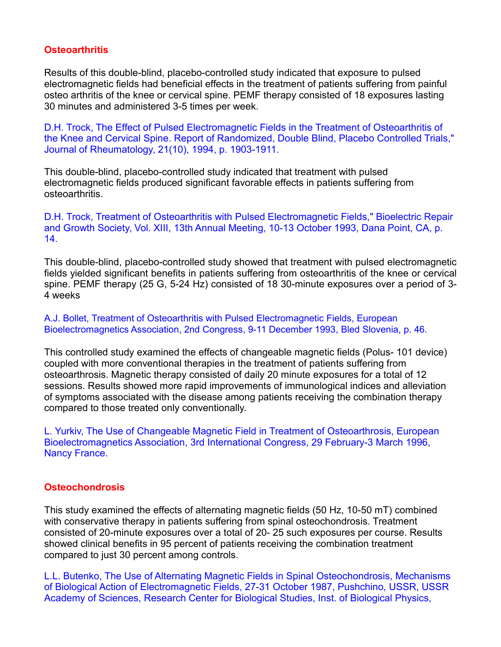# **Osteoarthritis**

Results of this double-blind, placebo-controlled study indicated that exposure to pulsed electromagnetic fields had beneficial effects in the treatment of patients suffering from painful osteo arthritis of the knee or cervical spine. PEMF therapy consisted of 18 exposures lasting 30 minutes and administered 3-5 times per week.

D.H. Trock, The Effect of Pulsed Electromagnetic Fields in the Treatment of Osteoarthritis of the Knee and Cervical Spine. Report of Randomized, Double Blind, Placebo Controlled Trials," Journal of Rheumatology, 21(10), 1994, p. 1903-1911.

This double-blind, placebo-controlled study indicated that treatment with pulsed electromagnetic fields produced significant favorable effects in patients suffering from osteoarthritis.

D.H. Trock, Treatment of Osteoarthritis with Pulsed Electromagnetic Fields," Bioelectric Repair and Growth Society, Vol. XIII, 13th Annual Meeting, 10-13 October 1993, Dana Point, CA, p. 14.

This double-blind, placebo-controlled study showed that treatment with pulsed electromagnetic fields yielded significant benefits in patients suffering from osteoarthritis of the knee or cervical spine. PEMF therapy (25 G, 5-24 Hz) consisted of 18 30-minute exposures over a period of 3- 4 weeks

A.J. Bollet, Treatment of Osteoarthritis with Pulsed Electromagnetic Fields, European Bioelectromagnetics Association, 2nd Congress, 9-11 December 1993, Bled Slovenia, p. 46.

This controlled study examined the effects of changeable magnetic fields (Polus- 101 device) coupled with more conventional therapies in the treatment of patients suffering from osteoarthrosis. Magnetic therapy consisted of daily 20 minute exposures for a total of 12 sessions. Results showed more rapid improvements of immunological indices and alleviation of symptoms associated with the disease among patients receiving the combination therapy compared to those treated only conventionally.

L. Yurkiv, The Use of Changeable Magnetic Field in Treatment of Osteoarthrosis, European Bioelectromagnetics Association, 3rd International Congress, 29 February-3 March 1996, Nancy France.

#### **Osteochondrosis**

This study examined the effects of alternating magnetic fields (50 Hz, 10-50 mT) combined with conservative therapy in patients suffering from spinal osteochondrosis. Treatment consisted of 20-minute exposures over a total of 20- 25 such exposures per course. Results showed clinical benefits in 95 percent of patients receiving the combination treatment compared to just 30 percent among controls.

L.L. Butenko, The Use of Alternating Magnetic Fields in Spinal Osteochondrosis, Mechanisms of Biological Action of Electromagnetic Fields, 27-31 October 1987, Pushchino, USSR, USSR Academy of Sciences, Research Center for Biological Studies, Inst. of Biological Physics,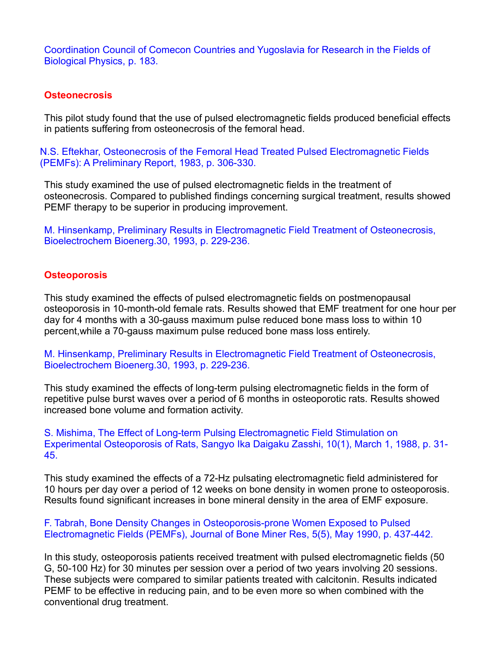Coordination Council of Comecon Countries and Yugoslavia for Research in the Fields of Biological Physics, p. 183.

#### **Osteonecrosis**

This pilot study found that the use of pulsed electromagnetic fields produced beneficial effects in patients suffering from osteonecrosis of the femoral head.

N.S. Eftekhar, Osteonecrosis of the Femoral Head Treated Pulsed Electromagnetic Fields (PEMFs): A Preliminary Report, 1983, p. 306-330.

This study examined the use of pulsed electromagnetic fields in the treatment of osteonecrosis. Compared to published findings concerning surgical treatment, results showed PEMF therapy to be superior in producing improvement.

M. Hinsenkamp, Preliminary Results in Electromagnetic Field Treatment of Osteonecrosis, Bioelectrochem Bioenerg.30, 1993, p. 229-236.

#### **Osteoporosis**

This study examined the effects of pulsed electromagnetic fields on postmenopausal osteoporosis in 10-month-old female rats. Results showed that EMF treatment for one hour per day for 4 months with a 30-gauss maximum pulse reduced bone mass loss to within 10 percent,while a 70-gauss maximum pulse reduced bone mass loss entirely.

M. Hinsenkamp, Preliminary Results in Electromagnetic Field Treatment of Osteonecrosis, Bioelectrochem Bioenerg.30, 1993, p. 229-236.

This study examined the effects of long-term pulsing electromagnetic fields in the form of repetitive pulse burst waves over a period of 6 months in osteoporotic rats. Results showed increased bone volume and formation activity.

S. Mishima, The Effect of Long-term Pulsing Electromagnetic Field Stimulation on Experimental Osteoporosis of Rats, Sangyo Ika Daigaku Zasshi, 10(1), March 1, 1988, p. 31- 45.

This study examined the effects of a 72-Hz pulsating electromagnetic field administered for 10 hours per day over a period of 12 weeks on bone density in women prone to osteoporosis. Results found significant increases in bone mineral density in the area of EMF exposure.

F. Tabrah, Bone Density Changes in Osteoporosis-prone Women Exposed to Pulsed Electromagnetic Fields (PEMFs), Journal of Bone Miner Res, 5(5), May 1990, p. 437-442.

In this study, osteoporosis patients received treatment with pulsed electromagnetic fields (50 G, 50-100 Hz) for 30 minutes per session over a period of two years involving 20 sessions. These subjects were compared to similar patients treated with calcitonin. Results indicated PEMF to be effective in reducing pain, and to be even more so when combined with the conventional drug treatment.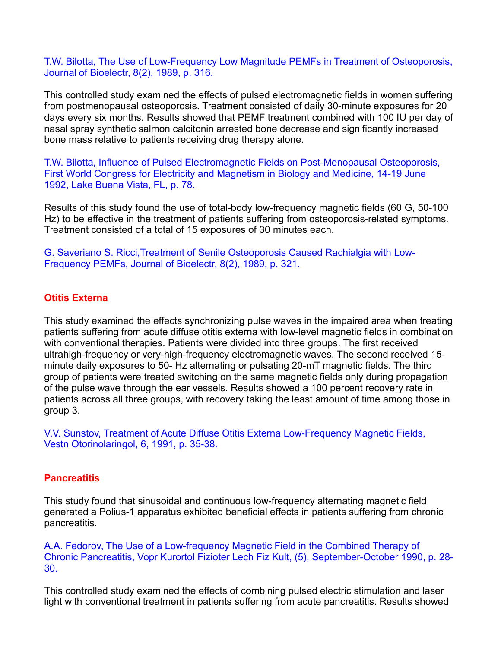T.W. Bilotta, The Use of Low-Frequency Low Magnitude PEMFs in Treatment of Osteoporosis, Journal of Bioelectr, 8(2), 1989, p. 316.

This controlled study examined the effects of pulsed electromagnetic fields in women suffering from postmenopausal osteoporosis. Treatment consisted of daily 30-minute exposures for 20 days every six months. Results showed that PEMF treatment combined with 100 IU per day of nasal spray synthetic salmon calcitonin arrested bone decrease and significantly increased bone mass relative to patients receiving drug therapy alone.

T.W. Bilotta, Influence of Pulsed Electromagnetic Fields on Post-Menopausal Osteoporosis, First World Congress for Electricity and Magnetism in Biology and Medicine, 14-19 June 1992, Lake Buena Vista, FL, p. 78.

Results of this study found the use of total-body low-frequency magnetic fields (60 G, 50-100 Hz) to be effective in the treatment of patients suffering from osteoporosis-related symptoms. Treatment consisted of a total of 15 exposures of 30 minutes each.

G. Saveriano S. Ricci,Treatment of Senile Osteoporosis Caused Rachialgia with Low- Frequency PEMFs, Journal of Bioelectr, 8(2), 1989, p. 321.

#### **Otitis Externa**

This study examined the effects synchronizing pulse waves in the impaired area when treating patients suffering from acute diffuse otitis externa with low-level magnetic fields in combination with conventional therapies. Patients were divided into three groups. The first received ultrahigh-frequency or very-high-frequency electromagnetic waves. The second received 15 minute daily exposures to 50- Hz alternating or pulsating 20-mT magnetic fields. The third group of patients were treated switching on the same magnetic fields only during propagation of the pulse wave through the ear vessels. Results showed a 100 percent recovery rate in patients across all three groups, with recovery taking the least amount of time among those in group 3.

V.V. Sunstov, Treatment of Acute Diffuse Otitis Externa Low-Frequency Magnetic Fields, Vestn Otorinolaringol, 6, 1991, p. 35-38.

#### **Pancreatitis**

This study found that sinusoidal and continuous low-frequency alternating magnetic field generated a Polius-1 apparatus exhibited beneficial effects in patients suffering from chronic pancreatitis.

A.A. Fedorov, The Use of a Low-frequency Magnetic Field in the Combined Therapy of Chronic Pancreatitis, Vopr Kurortol Fizioter Lech Fiz Kult, (5), September-October 1990, p. 28- 30.

This controlled study examined the effects of combining pulsed electric stimulation and laser light with conventional treatment in patients suffering from acute pancreatitis. Results showed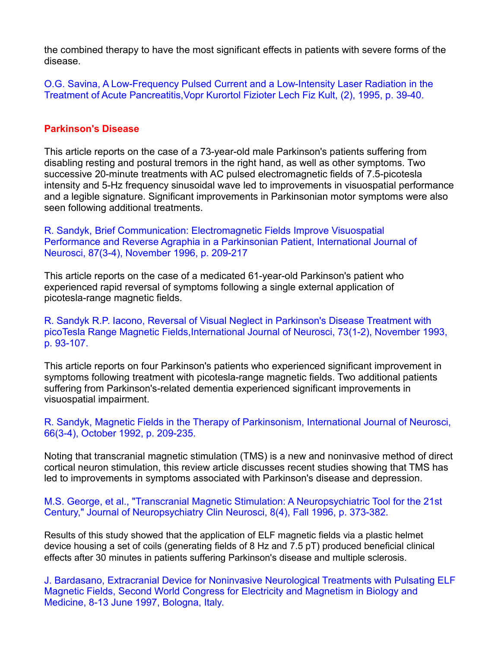the combined therapy to have the most significant effects in patients with severe forms of the disease.

O.G. Savina, A Low-Frequency Pulsed Current and a Low-Intensity Laser Radiation in the Treatment of Acute Pancreatitis,Vopr Kurortol Fizioter Lech Fiz Kult, (2), 1995, p. 39-40.

## **Parkinson's Disease**

This article reports on the case of a 73-year-old male Parkinson's patients suffering from disabling resting and postural tremors in the right hand, as well as other symptoms. Two successive 20-minute treatments with AC pulsed electromagnetic fields of 7.5-picotesla intensity and 5-Hz frequency sinusoidal wave led to improvements in visuospatial performance and a legible signature. Significant improvements in Parkinsonian motor symptoms were also seen following additional treatments.

R. Sandyk, Brief Communication: Electromagnetic Fields Improve Visuospatial Performance and Reverse Agraphia in a Parkinsonian Patient, International Journal of Neurosci, 87(3-4), November 1996, p. 209-217

This article reports on the case of a medicated 61-year-old Parkinson's patient who experienced rapid reversal of symptoms following a single external application of picotesla-range magnetic fields.

R. Sandyk R.P. Iacono, Reversal of Visual Neglect in Parkinson's Disease Treatment with picoTesla Range Magnetic Fields,International Journal of Neurosci, 73(1-2), November 1993, p. 93-107.

This article reports on four Parkinson's patients who experienced significant improvement in symptoms following treatment with picotesla-range magnetic fields. Two additional patients suffering from Parkinson's-related dementia experienced significant improvements in visuospatial impairment.

R. Sandyk, Magnetic Fields in the Therapy of Parkinsonism, International Journal of Neurosci, 66(3-4), October 1992, p. 209-235.

Noting that transcranial magnetic stimulation (TMS) is a new and noninvasive method of direct cortical neuron stimulation, this review article discusses recent studies showing that TMS has led to improvements in symptoms associated with Parkinson's disease and depression.

M.S. George, et al., "Transcranial Magnetic Stimulation: A Neuropsychiatric Tool for the 21st Century," Journal of Neuropsychiatry Clin Neurosci, 8(4), Fall 1996, p. 373-382.

Results of this study showed that the application of ELF magnetic fields via a plastic helmet device housing a set of coils (generating fields of 8 Hz and 7.5 pT) produced beneficial clinical effects after 30 minutes in patients suffering Parkinson's disease and multiple sclerosis.

J. Bardasano, Extracranial Device for Noninvasive Neurological Treatments with Pulsating ELF Magnetic Fields, Second World Congress for Electricity and Magnetism in Biology and Medicine, 8-13 June 1997, Bologna, Italy.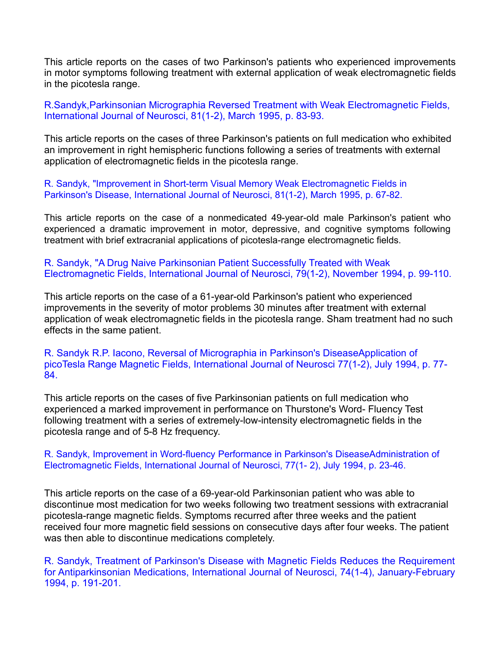This article reports on the cases of two Parkinson's patients who experienced improvements in motor symptoms following treatment with external application of weak electromagnetic fields in the picotesla range.

R.Sandyk,Parkinsonian Micrographia Reversed Treatment with Weak Electromagnetic Fields, International Journal of Neurosci, 81(1-2), March 1995, p. 83-93.

This article reports on the cases of three Parkinson's patients on full medication who exhibited an improvement in right hemispheric functions following a series of treatments with external application of electromagnetic fields in the picotesla range.

R. Sandyk, "Improvement in Short-term Visual Memory Weak Electromagnetic Fields in Parkinson's Disease, International Journal of Neurosci, 81(1-2), March 1995, p. 67-82.

This article reports on the case of a nonmedicated 49-year-old male Parkinson's patient who experienced a dramatic improvement in motor, depressive, and cognitive symptoms following treatment with brief extracranial applications of picotesla-range electromagnetic fields.

R. Sandyk, "A Drug Naive Parkinsonian Patient Successfully Treated with Weak Electromagnetic Fields, International Journal of Neurosci, 79(1-2), November 1994, p. 99-110.

This article reports on the case of a 61-year-old Parkinson's patient who experienced improvements in the severity of motor problems 30 minutes after treatment with external application of weak electromagnetic fields in the picotesla range. Sham treatment had no such effects in the same patient.

R. Sandyk R.P. Iacono, Reversal of Micrographia in Parkinson's DiseaseApplication of picoTesla Range Magnetic Fields, International Journal of Neurosci 77(1-2), July 1994, p. 77- 84.

This article reports on the cases of five Parkinsonian patients on full medication who experienced a marked improvement in performance on Thurstone's Word- Fluency Test following treatment with a series of extremely-low-intensity electromagnetic fields in the picotesla range and of 5-8 Hz frequency.

R. Sandyk, Improvement in Word-fluency Performance in Parkinson's DiseaseAdministration of Electromagnetic Fields, International Journal of Neurosci, 77(1- 2), July 1994, p. 23-46.

This article reports on the case of a 69-year-old Parkinsonian patient who was able to discontinue most medication for two weeks following two treatment sessions with extracranial picotesla-range magnetic fields. Symptoms recurred after three weeks and the patient received four more magnetic field sessions on consecutive days after four weeks. The patient was then able to discontinue medications completely.

R. Sandyk, Treatment of Parkinson's Disease with Magnetic Fields Reduces the Requirement for Antiparkinsonian Medications, International Journal of Neurosci, 74(1-4), January-February 1994, p. 191-201.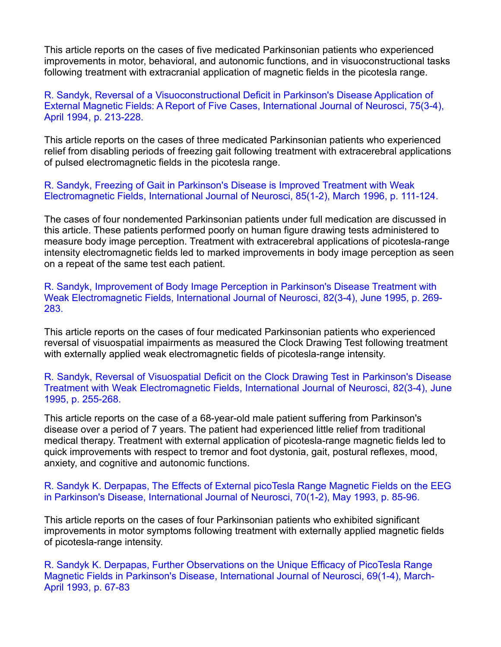This article reports on the cases of five medicated Parkinsonian patients who experienced improvements in motor, behavioral, and autonomic functions, and in visuoconstructional tasks following treatment with extracranial application of magnetic fields in the picotesla range.

R. Sandyk, Reversal of a Visuoconstructional Deficit in Parkinson's Disease Application of External Magnetic Fields: A Report of Five Cases, International Journal of Neurosci, 75(3-4), April 1994, p. 213-228.

This article reports on the cases of three medicated Parkinsonian patients who experienced relief from disabling periods of freezing gait following treatment with extracerebral applications of pulsed electromagnetic fields in the picotesla range.

R. Sandyk, Freezing of Gait in Parkinson's Disease is Improved Treatment with Weak Electromagnetic Fields, International Journal of Neurosci, 85(1-2), March 1996, p. 111-124.

The cases of four nondemented Parkinsonian patients under full medication are discussed in this article. These patients performed poorly on human figure drawing tests administered to measure body image perception. Treatment with extracerebral applications of picotesla-range intensity electromagnetic fields led to marked improvements in body image perception as seen on a repeat of the same test each patient.

R. Sandyk, Improvement of Body Image Perception in Parkinson's Disease Treatment with Weak Electromagnetic Fields, International Journal of Neurosci, 82(3-4), June 1995, p. 269- 283.

This article reports on the cases of four medicated Parkinsonian patients who experienced reversal of visuospatial impairments as measured the Clock Drawing Test following treatment with externally applied weak electromagnetic fields of picotesla-range intensity.

R. Sandyk, Reversal of Visuospatial Deficit on the Clock Drawing Test in Parkinson's Disease Treatment with Weak Electromagnetic Fields, International Journal of Neurosci, 82(3-4), June 1995, p. 255-268.

This article reports on the case of a 68-year-old male patient suffering from Parkinson's disease over a period of 7 years. The patient had experienced little relief from traditional medical therapy. Treatment with external application of picotesla-range magnetic fields led to quick improvements with respect to tremor and foot dystonia, gait, postural reflexes, mood, anxiety, and cognitive and autonomic functions.

R. Sandyk K. Derpapas, The Effects of External picoTesla Range Magnetic Fields on the EEG in Parkinson's Disease, International Journal of Neurosci, 70(1-2), May 1993, p. 85-96.

This article reports on the cases of four Parkinsonian patients who exhibited significant improvements in motor symptoms following treatment with externally applied magnetic fields of picotesla-range intensity.

R. Sandyk K. Derpapas, Further Observations on the Unique Efficacy of PicoTesla Range Magnetic Fields in Parkinson's Disease, International Journal of Neurosci, 69(1-4), March- April 1993, p. 67-83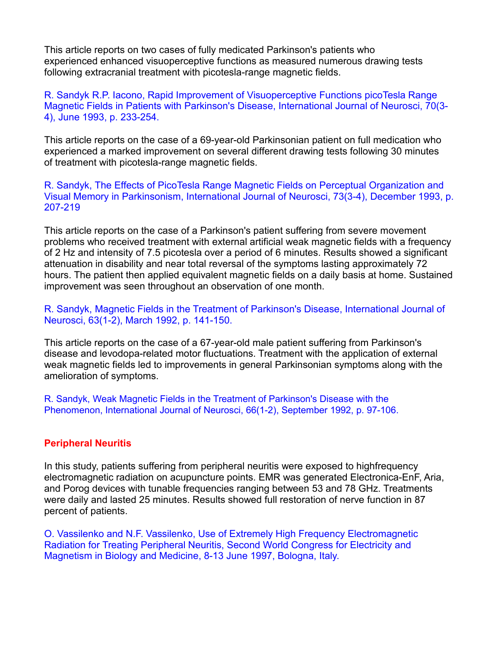This article reports on two cases of fully medicated Parkinson's patients who experienced enhanced visuoperceptive functions as measured numerous drawing tests following extracranial treatment with picotesla-range magnetic fields.

R. Sandyk R.P. Iacono, Rapid Improvement of Visuoperceptive Functions picoTesla Range Magnetic Fields in Patients with Parkinson's Disease, International Journal of Neurosci, 70(3- 4), June 1993, p. 233-254.

This article reports on the case of a 69-year-old Parkinsonian patient on full medication who experienced a marked improvement on several different drawing tests following 30 minutes of treatment with picotesla-range magnetic fields.

R. Sandyk, The Effects of PicoTesla Range Magnetic Fields on Perceptual Organization and Visual Memory in Parkinsonism, International Journal of Neurosci, 73(3-4), December 1993, p. 207-219

This article reports on the case of a Parkinson's patient suffering from severe movement problems who received treatment with external artificial weak magnetic fields with a frequency of 2 Hz and intensity of 7.5 picotesla over a period of 6 minutes. Results showed a significant attenuation in disability and near total reversal of the symptoms lasting approximately 72 hours. The patient then applied equivalent magnetic fields on a daily basis at home. Sustained improvement was seen throughout an observation of one month.

R. Sandyk, Magnetic Fields in the Treatment of Parkinson's Disease, International Journal of Neurosci, 63(1-2), March 1992, p. 141-150.

This article reports on the case of a 67-year-old male patient suffering from Parkinson's disease and levodopa-related motor fluctuations. Treatment with the application of external weak magnetic fields led to improvements in general Parkinsonian symptoms along with the amelioration of symptoms.

R. Sandyk, Weak Magnetic Fields in the Treatment of Parkinson's Disease with the Phenomenon, International Journal of Neurosci, 66(1-2), September 1992, p. 97-106.

## **Peripheral Neuritis**

In this study, patients suffering from peripheral neuritis were exposed to highfrequency electromagnetic radiation on acupuncture points. EMR was generated Electronica-EnF, Aria, and Porog devices with tunable frequencies ranging between 53 and 78 GHz. Treatments were daily and lasted 25 minutes. Results showed full restoration of nerve function in 87 percent of patients.

O. Vassilenko and N.F. Vassilenko, Use of Extremely High Frequency Electromagnetic Radiation for Treating Peripheral Neuritis, Second World Congress for Electricity and Magnetism in Biology and Medicine, 8-13 June 1997, Bologna, Italy.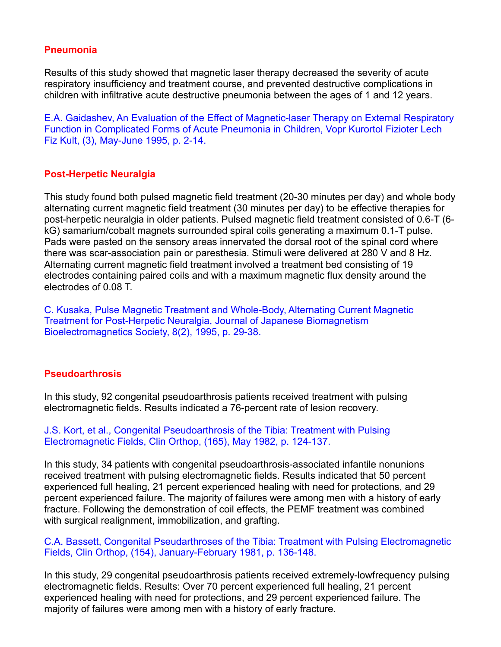# **Pneumonia**

Results of this study showed that magnetic laser therapy decreased the severity of acute respiratory insufficiency and treatment course, and prevented destructive complications in children with infiltrative acute destructive pneumonia between the ages of 1 and 12 years.

E.A. Gaidashev, An Evaluation of the Effect of Magnetic-laser Therapy on External Respiratory Function in Complicated Forms of Acute Pneumonia in Children, Vopr Kurortol Fizioter Lech Fiz Kult, (3), May-June 1995, p. 2-14.

## **Post-Herpetic Neuralgia**

This study found both pulsed magnetic field treatment (20-30 minutes per day) and whole body alternating current magnetic field treatment (30 minutes per day) to be effective therapies for post-herpetic neuralgia in older patients. Pulsed magnetic field treatment consisted of 0.6-T (6 kG) samarium/cobalt magnets surrounded spiral coils generating a maximum 0.1-T pulse. Pads were pasted on the sensory areas innervated the dorsal root of the spinal cord where there was scar-association pain or paresthesia. Stimuli were delivered at 280 V and 8 Hz. Alternating current magnetic field treatment involved a treatment bed consisting of 19 electrodes containing paired coils and with a maximum magnetic flux density around the electrodes of 0.08 T.

C. Kusaka, Pulse Magnetic Treatment and Whole-Body, Alternating Current Magnetic Treatment for Post-Herpetic Neuralgia, Journal of Japanese Biomagnetism Bioelectromagnetics Society, 8(2), 1995, p. 29-38.

## **Pseudoarthrosis**

In this study, 92 congenital pseudoarthrosis patients received treatment with pulsing electromagnetic fields. Results indicated a 76-percent rate of lesion recovery.

J.S. Kort, et al., Congenital Pseudoarthrosis of the Tibia: Treatment with Pulsing Electromagnetic Fields, Clin Orthop, (165), May 1982, p. 124-137.

In this study, 34 patients with congenital pseudoarthrosis-associated infantile nonunions received treatment with pulsing electromagnetic fields. Results indicated that 50 percent experienced full healing,21 percent experienced healing with need for protections, and 29 percent experienced failure. The majority of failures were among men with a history of early fracture. Following the demonstration of coil effects, the PEMF treatment was combined with surgical realignment, immobilization, and grafting.

## C.A. Bassett, Congenital Pseudarthroses of the Tibia: Treatment with Pulsing Electromagnetic Fields, Clin Orthop, (154), January-February 1981, p. 136-148.

In this study, 29 congenital pseudoarthrosis patients received extremely-lowfrequency pulsing electromagnetic fields. Results: Over 70 percent experienced full healing,21 percent experienced healing with need for protections, and 29 percent experienced failure. The majority of failures were among men with a history of early fracture.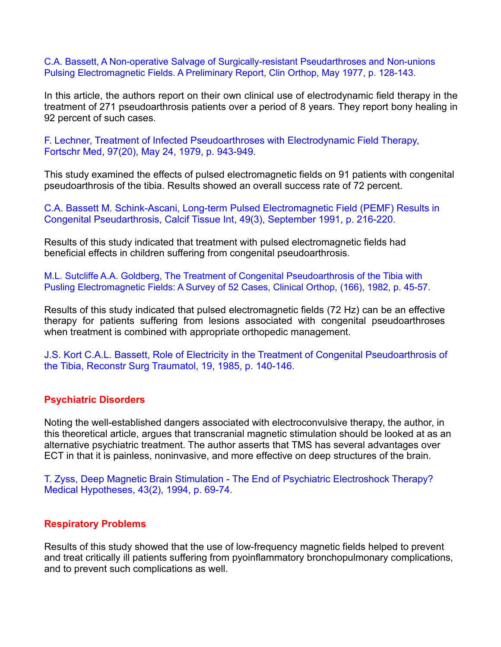C.A. Bassett, A Non-operative Salvage of Surgically-resistant Pseudarthroses and Non-unions Pulsing Electromagnetic Fields. A Preliminary Report, Clin Orthop, May 1977, p. 128-143.

In this article, the authors report on their own clinical use of electrodynamic field therapy in the treatment of 271 pseudoarthrosis patients over a period of 8 years. They report bony healing in 92 percent of such cases.

F. Lechner, Treatment of Infected Pseudoarthroses with Electrodynamic Field Therapy, Fortschr Med, 97(20), May 24, 1979, p. 943-949.

This study examined the effects of pulsed electromagnetic fields on 91 patients with congenital pseudoarthrosis of the tibia. Results showed an overall success rate of 72 percent.

C.A. Bassett M. Schink-Ascani, Long-term Pulsed Electromagnetic Field (PEMF) Results in Congenital Pseudarthrosis, Calcif Tissue Int, 49(3), September 1991, p. 216-220.

Results of this study indicated that treatment with pulsed electromagnetic fields had beneficial effects in children suffering from congenital pseudoarthrosis.

M.L. Sutcliffe A.A. Goldberg, The Treatment of Congenital Pseudoarthrosis of the Tibia with Pusling Electromagnetic Fields: A Survey of 52 Cases, Clinical Orthop, (166), 1982, p. 45-57.

Results of this study indicated that pulsed electromagnetic fields (72 Hz) can be an effective therapy for patients suffering from lesions associated with congenital pseudoarthroses when treatment is combined with appropriate orthopedic management.

J.S. Kort C.A.L. Bassett, Role of Electricity in the Treatment of Congenital Pseudoarthrosis of the Tibia, Reconstr Surg Traumatol, 19, 1985, p. 140-146.

#### **Psychiatric Disorders**

Noting the well-established dangers associated with electroconvulsive therapy, the author, in this theoretical article, argues that transcranial magnetic stimulation should be looked at as an alternative psychiatric treatment. The author asserts that TMS has several advantages over ECT in that it is painless, noninvasive, and more effective on deep structures of the brain.

T. Zyss, Deep Magnetic Brain Stimulation - The End of Psychiatric Electroshock Therapy? Medical Hypotheses, 43(2), 1994, p. 69-74.

#### **Respiratory Problems**

Results of this study showed that the use of low-frequency magnetic fields helped to prevent and treat critically ill patients suffering from pyoinflammatory bronchopulmonary complications, and to prevent such complications as well.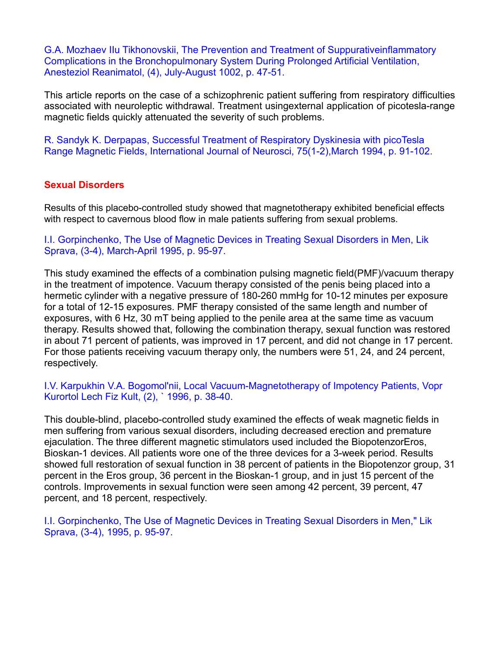G.A. Mozhaev IIu Tikhonovskii, The Prevention and Treatment of Suppurativeinflammatory Complications in the Bronchopulmonary System During Prolonged Artificial Ventilation, Anesteziol Reanimatol, (4), July-August 1002, p. 47-51.

This article reports on the case of a schizophrenic patient suffering from respiratory difficulties associated with neuroleptic withdrawal. Treatment usingexternal application of picotesla-range magnetic fields quickly attenuated the severity of such problems.

R. Sandyk K. Derpapas, Successful Treatment of Respiratory Dyskinesia with picoTesla Range Magnetic Fields, International Journal of Neurosci, 75(1-2),March 1994, p. 91-102.

# **Sexual Disorders**

Results of this placebo-controlled study showed that magnetotherapy exhibited beneficial effects with respect to cavernous blood flow in male patients suffering from sexual problems.

I.I. Gorpinchenko, The Use of Magnetic Devices in Treating Sexual Disorders in Men, Lik Sprava, (3-4), March-April 1995, p. 95-97.

This study examined the effects of a combination pulsing magnetic field(PMF)/vacuum therapy in the treatment of impotence. Vacuum therapy consisted of the penis being placed into a hermetic cylinder with a negative pressure of 180-260 mmHg for 10-12 minutes per exposure for a total of 12-15 exposures. PMF therapy consisted of the same length and number of exposures, with 6 Hz, 30 mT being applied to the penile area at the same time as vacuum therapy. Results showed that, following the combination therapy, sexual function was restored in about 71 percent of patients, was improved in 17 percent, and did not change in 17 percent.<br>For those patients receiving vacuum therapy only, the numbers were 51, 24, and 24 percent,<br>respectively.

I.V. Karpukhin V.A. Bogomol'nii, Local Vacuum-Magnetotherapy of Impotency Patients, Vopr Kurortol Lech Fiz Kult, (2), ` 1996, p. 38-40.

This double-blind, placebo-controlled study examined the effects of weak magnetic fields in men suffering from various sexual disorders, including decreased erection and premature ejaculation. The three different magnetic stimulators used included the BiopotenzorEros, Bioskan-1 devices. All patients wore one of the three devices for a 3-week period. Results showed full restoration of sexual function in 38 percent of patients in the Biopotenzor group, 31 percent in the Eros group, 36 percent in the Bioskan-1 group, and in just 15 percent of the controls. Improvements in sexual function were seen among 42 percent, 39 percent, 47 percent, and 18 percent, respectively.

I.I. Gorpinchenko, The Use of Magnetic Devices in Treating Sexual Disorders in Men," Lik Sprava, (3-4), 1995, p. 95-97.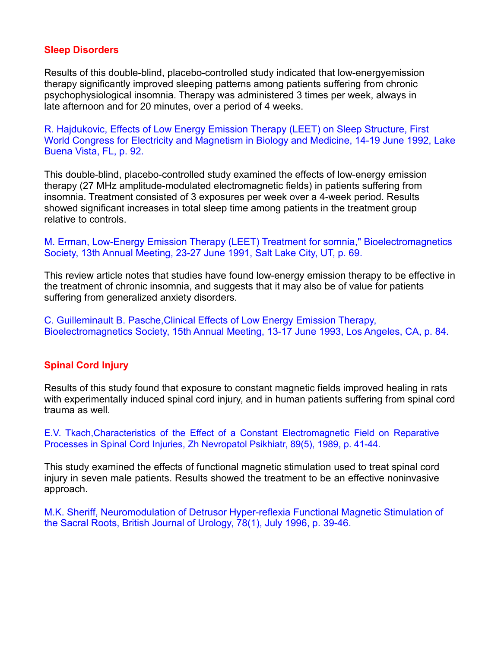## **Sleep Disorders**

Results of this double-blind, placebo-controlled study indicated that low-energyemission therapy significantly improved sleeping patterns among patients suffering from chronic psychophysiological insomnia. Therapy was administered 3 times per week, always in

late afternoon and for 20 minutes, over a period of 4 weeks.<br>R. Hajdukovic, Effects of Low Energy Emission Therapy (LEET) on Sleep Structure, First World Congress for Electricity and Magnetism in Biology and Medicine, 14-19 June 1992, Lake Buena Vista, FL, p. 92.

This double-blind, placebo-controlled study examined the effects of low-energy emission therapy (27 MHz amplitude-modulated electromagnetic fields) in patients suffering from insomnia. Treatment consisted of 3 exposures per week over a 4-week period. Results showed significant increases in total sleep time among patients in the treatment group relative to controls.

#### M. Erman, Low-Energy Emission Therapy (LEET) Treatment for somnia," Bioelectromagnetics Society, 13th Annual Meeting, 23-27 June 1991, Salt Lake City, UT, p. 69.

This review article notes that studies have found low-energy emission therapy to be effective in the treatment of chronic insomnia, and suggests that it may also be of value for patients suffering from generalized anxiety disorders.

C. Guilleminault B. Pasche,Clinical Effects of Low Energy Emission Therapy, Bioelectromagnetics Society, 15th Annual Meeting, 13-17 June 1993, Los Angeles, CA, p. 84.

## **Spinal Cord Injury**

Results of this study found that exposure to constant magnetic fields improved healing in rats with experimentally induced spinal cord injury, and in human patients suffering from spinal cord trauma as well.

E.V. Tkach,Characteristics of the Effect of a Constant Electromagnetic Field on Reparative Processes in Spinal Cord Injuries, Zh Nevropatol Psikhiatr, 89(5), 1989, p. 41-44.

This study examined the effects of functional magnetic stimulation used to treat spinal cord injury in seven male patients. Results showed the treatment to be an effective noninvasive approach.

M.K. Sheriff, Neuromodulation of Detrusor Hyper-reflexia Functional Magnetic Stimulation of the Sacral Roots, British Journal of Urology, 78(1), July 1996, p. 39-46.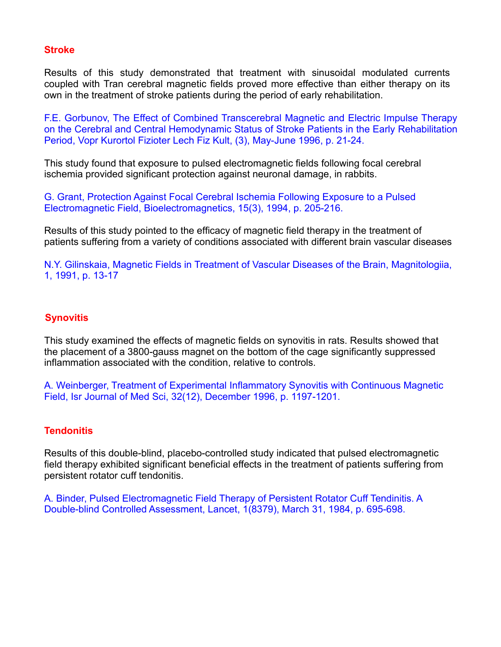## **Stroke**

Results of this study demonstrated that treatment with sinusoidal modulated currents coupled with Tran cerebral magnetic fields proved more effective than either therapy on its own in the treatment of stroke patients during the period of early rehabilitation.

F.E. Gorbunov, The Effect of Combined Transcerebral Magnetic and Electric Impulse Therapy on the Cerebral and Central Hemodynamic Status of Stroke Patients in the Early Rehabilitation Period, Vopr Kurortol Fizioter Lech Fiz Kult, (3), May-June 1996, p. 21-24.

This study found that exposure to pulsed electromagnetic fields following focal cerebral ischemia provided significant protection against neuronal damage, in rabbits.

G. Grant, Protection Against Focal Cerebral Ischemia Following Exposure to a Pulsed Electromagnetic Field, Bioelectromagnetics, 15(3), 1994, p. 205-216.

Results of this study pointed to the efficacy of magnetic field therapy in the treatment of patients suffering from a variety of conditions associated with different brain vascular diseases

N.Y. Gilinskaia, Magnetic Fields in Treatment of Vascular Diseases of the Brain, Magnitologiia, 1, 1991, p. 13-17

# **Synovitis**

This study examined the effects of magnetic fields on synovitis in rats. Results showed that the placement of a 3800-gauss magnet on the bottom of the cage significantly suppressed inflammation associated with the condition, relative to controls.

A. Weinberger, Treatment of Experimental Inflammatory Synovitis with Continuous Magnetic Field, Isr Journal of Med Sci, 32(12), December 1996, p. 1197-1201.

# **Tendonitis**

Results of this double-blind, placebo-controlled study indicated that pulsed electromagnetic field therapy exhibited significant beneficial effects in the treatment of patients suffering from persistent rotator cuff tendonitis.

A. Binder, Pulsed Electromagnetic Field Therapy of Persistent Rotator Cuff Tendinitis. A Double-blind Controlled Assessment, Lancet, 1(8379), March 31, 1984, p. 695-698.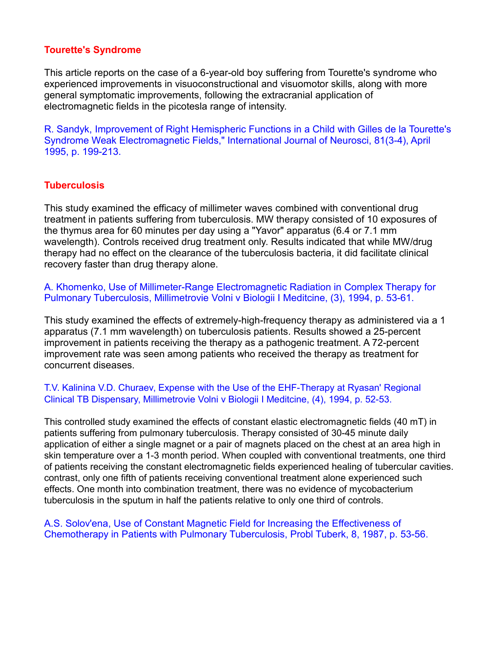## **Tourette's Syndrome**

This article reports on the case of a 6-year-old boy suffering from Tourette's syndrome who experienced improvements in visuoconstructional and visuomotor skills, along with more general symptomatic improvements, following the extracranial application of

electromagnetic fields in the picotesla range of intensity.<br>R. Sandyk, Improvement of Right Hemispheric Functions in a Child with Gilles de la Tourette's Syndrome Weak Electromagnetic Fields," International Journal of Neurosci, 81(3-4), April 1995, p. 199-213.

# **Tuberculosis**

This study examined the efficacy of millimeter waves combined with conventional drug treatment in patients suffering from tuberculosis. MW therapy consisted of 10 exposures of the thymus area for 60 minutes per day using a "Yavor" apparatus (6.4 or 7.1 mm wavelength). Controls received drug treatment only. Results indicated that while MW/drug therapy had no effect on the clearance of the tuberculosis bacteria, it did facilitate clinical recovery faster than drug therapy alone.

A. Khomenko, Use of Millimeter-Range Electromagnetic Radiation in Complex Therapy for Pulmonary Tuberculosis, Millimetrovie Volni v Biologii I Meditcine, (3), 1994, p. 53-61.

This study examined the effects of extremely-high-frequency therapy as administered via a 1 apparatus (7.1 mm wavelength) on tuberculosis patients. Results showed a 25-percent improvement in patients receiving the therapy as a pathogenic treatment. A 72-percent improvement rate was seen among patients who received the therapy as treatment for concurrent diseases.

## T.V. Kalinina V.D. Churaev, Expense with the Use of the EHF-Therapy at Ryasan' Regional Clinical TB Dispensary, Millimetrovie Volni v Biologii I Meditcine, (4), 1994, p. 52-53.

This controlled study examined the effects of constant elastic electromagnetic fields (40 mT) in patients suffering from pulmonary tuberculosis. Therapy consisted of 30-45 minute daily application of either a single magnet or a pair of magnets placed on the chest at an area high in skin temperature over a 1-3 month period. When coupled with conventional treatments, one third of patients receiving the constant electromagnetic fields experienced healing of tubercular cavities. contrast, only one fifth of patients receiving conventional treatment alone experienced such effects. One month into combination treatment, there was no evidence of mycobacterium tuberculosis in the sputum in half the patients relative to only one third of controls.

## A.S. Solov'ena, Use of Constant Magnetic Field for Increasing the Effectiveness of Chemotherapy in Patients with Pulmonary Tuberculosis, Probl Tuberk, 8, 1987, p. 53-56.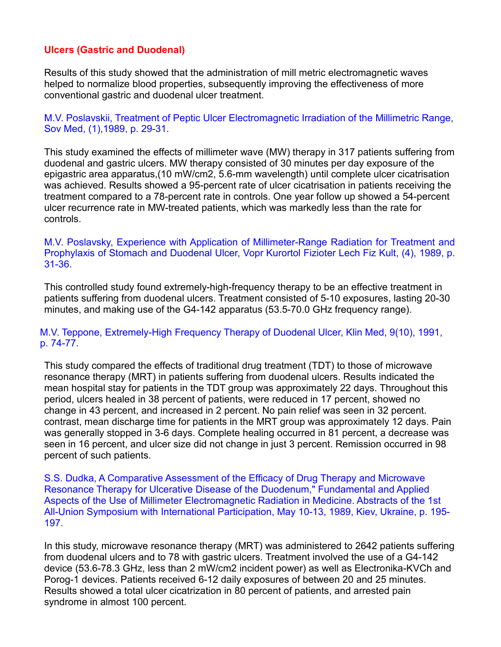# **Ulcers (Gastric and Duodenal)**

Results of this study showed that the administration of mill metric electromagnetic waves helped to normalize blood properties, subsequently improving the effectiveness of more conventional gastric and duodenal ulcer treatment.

M.V. Poslavskii, Treatment of Peptic Ulcer Electromagnetic Irradiation of the Millimetric Range, Sov Med, (1),1989, p. 29-31.

This study examined the effects of millimeter wave (MW) therapy in 317 patients suffering from duodenal and gastric ulcers. MW therapy consisted of 30 minutes per day exposure of the epigastric area apparatus,(10 mW/cm2, 5.6-mm wavelength) untilcomplete ulcer cicatrisation was achieved. Results showed a 95-percent rate of ulcer cicatrisation in patients receiving the treatment compared to a 78-percent rate in controls. One year follow up showed a 54-percent ulcer recurrence rate in MW-treated patients, which was markedly less than the rate for controls.

M.V. Poslavsky, Experience with Application of Millimeter-Range Radiation for Treatment and Prophylaxis of Stomach and Duodenal Ulcer, Vopr Kurortol Fizioter Lech Fiz Kult, (4), 1989, p. 31-36.

This controlled study found extremely-high-frequency therapy to be an effective treatment in patients suffering from duodenal ulcers. Treatment consisted of 5-10 exposures, lasting 20-30 minutes, and making use of the G4-142 apparatus (53.5-70.0 GHz frequency range).

## M.V. Teppone, Extremely-High Frequency Therapy of Duodenal Ulcer, Klin Med, 9(10), 1991, p. 74-77.

This study compared the effects of traditional drug treatment (TDT) to those of microwave resonance therapy (MRT) in patients suffering from duodenal ulcers. Results indicated the mean hospital stay for patients in the TDT group was approximately 22 days. Throughout this period, ulcers healed in 38 percent of patients, were reduced in 17 percent, showed no change in 43 percent, and increased in 2 percent. No pain relief was seen in 32 percent.<br>contrast, mean discharge time for patients in the MRT group was approximately 12 days. Pain was generally stopped in 3-6 days. Complete healing occurred in 81 percent, a decrease was seen in 16 percent, and ulcer size did not change in just 3 percent. Remission occurred in 98 percent of such patients.

S.S. Dudka, A Comparative Assessment of the Efficacy of Drug Therapy and Microwave Resonance Therapy for Ulcerative Disease of the Duodenum," Fundamental and Applied Aspects of the Use of Millimeter Electromagnetic Radiation in Medicine. Abstracts of the 1st All-Union Symposium with International Participation, May 10-13, 1989, Kiev, Ukraine, p. 195- 197.

In this study, microwave resonance therapy (MRT) was administered to 2642 patients suffering from duodenal ulcers and to 78 with gastric ulcers. Treatment involved the use of a G4-142 device (53.6-78.3 GHz, less than 2 mW/cm2 incident power) as well as Electronika-KVCh and Porog-1 devices. Patients received 6-12 daily exposures of between 20 and 25 minutes. Results showed a total ulcer cicatrization in 80 percent of patients, and arrested pain syndrome in almost 100 percent.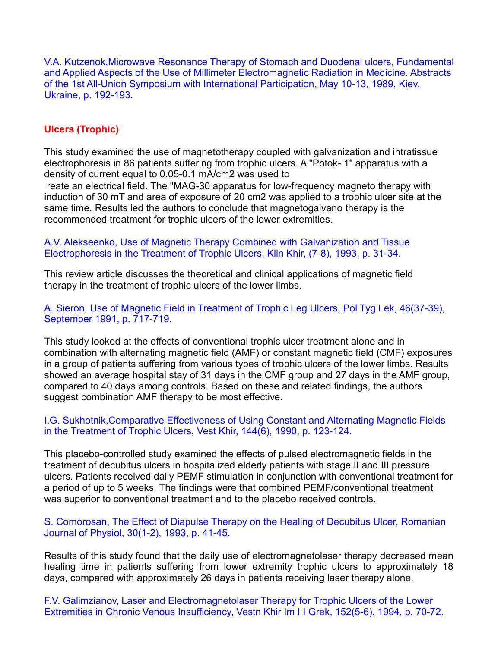V.A. Kutzenok,Microwave Resonance Therapy of Stomach and Duodenal ulcers, Fundamental and Applied Aspects of the Use of Millimeter Electromagnetic Radiation in Medicine. Abstracts of the 1st All-Union Symposium with International Participation, May 10-13, 1989, Kiev, Ukraine, p. 192-193.

## **Ulcers (Trophic)**

This study examined the use of magnetotherapy coupled with galvanization and intratissue electrophoresis in 86 patients suffering from trophic ulcers. A "Potok- 1" apparatus with a density of current equal to 0.05-0.1 mA/cm2 was used to

reate an electrical field. The "MAG-30 apparatus for low-frequency magneto therapy with induction of 30 mT and area of exposure of 20 cm2 was applied to a trophic ulcer site at the same time. Results led the authors to conclude that magnetogalvano therapy is the recommended treatment for trophic ulcers of the lower extremities.

#### A.V. Alekseenko, Use of Magnetic Therapy Combined with Galvanization and Tissue Electrophoresis in the Treatment of Trophic Ulcers, Klin Khir, (7-8), 1993, p. 31-34.

This review article discusses the theoretical and clinical applications of magnetic field therapy in the treatment of trophic ulcers of the lower limbs.

A. Sieron, Use of Magnetic Field in Treatment of Trophic Leg Ulcers, Pol Tyg Lek, 46(37-39), September 1991, p. 717-719.

This study looked at the effects of conventional trophic ulcer treatment alone and in combination with alternating magnetic field (AMF) or constant magnetic field (CMF) exposures in a group of patients suffering from various types of trophic ulcers of the lower limbs. Results showed an average hospital stay of 31 days in the CMF group and 27 days in the AMF group, compared to 40 days among controls. Based on these and related findings, the authors suggest combination AMF therapy to be most effective.

#### I.G. Sukhotnik,Comparative Effectiveness of Using Constant and Alternating Magnetic Fields in the Treatment of Trophic Ulcers, Vest Khir, 144(6), 1990, p. 123-124.

This placebo-controlled study examined the effects of pulsed electromagnetic fields in the treatment of decubitus ulcers in hospitalized elderly patients with stage II and III pressure ulcers. Patients received daily PEMF stimulation in conjunction with conventional treatment for a period of up to 5 weeks. The findings were that combined PEMF/conventional treatment was superior to conventional treatment and to the placebo received controls.

#### S. Comorosan, The Effect of Diapulse Therapy on the Healing of Decubitus Ulcer, Romanian Journal of Physiol, 30(1-2), 1993, p. 41-45.

Results of this study found that the daily use of electromagnetolaser therapy decreased mean healing time in patients suffering from lower extremity trophic ulcers to approximately 18 days, compared with approximately 26 days in patients receiving laser therapy alone.

F.V. Galimzianov, Laser and Electromagnetolaser Therapy for Trophic Ulcers of the Lower Extremities in Chronic Venous Insufficiency, Vestn Khir Im I I Grek, 152(5-6), 1994, p. 70-72.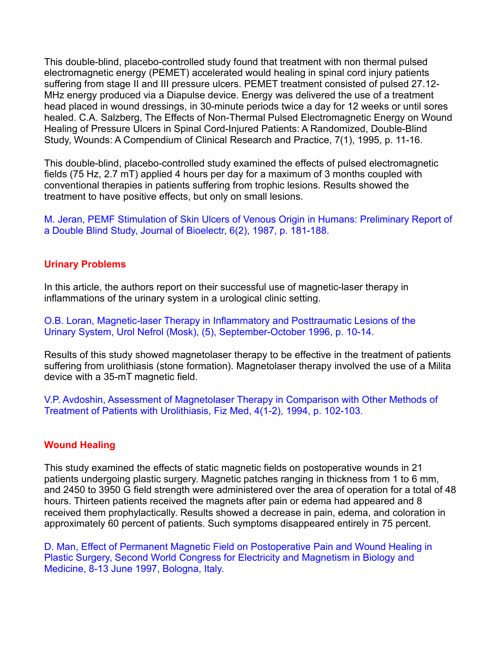This double-blind, placebo-controlled study found that treatment with non thermal pulsed electromagnetic energy (PEMET) accelerated would healing in spinal cord injury patients suffering from stage II and III pressure ulcers. PEMET treatment consisted of pulsed 27.12- MHz energy produced via a Diapulse device. Energy was delivered the use of a treatment head placed in wound dressings, in 30-minute periods twice a day for 12 weeks or until sores healed. C.A. Salzberg, The Effects of Non-Thermal Pulsed Electromagnetic Energy on Wound Healing of Pressure Ulcers in Spinal Cord-Injured Patients: A Randomized, Double-Blind Study, Wounds: A Compendium of Clinical Research and Practice, 7(1), 1995, p. 11-16.

This double-blind, placebo-controlled study examined the effects of pulsed electromagnetic fields (75 Hz, 2.7 mT) applied 4 hours per day for a maximum of 3 months coupled with conventional therapies in patients suffering from trophic lesions. Results showed the treatment to have positive effects, but only on small lesions.

M. Jeran, PEMF Stimulation of Skin Ulcers of Venous Origin in Humans: Preliminary Report of a Double Blind Study, Journal of Bioelectr, 6(2), 1987, p. 181-188.

## **Urinary Problems**

In this article, the authors report on their successful use of magnetic-laser therapy in inflammations of the urinary system in a urological clinic setting.

O.B. Loran, Magnetic-laser Therapy in Inflammatory and Posttraumatic Lesions of the Urinary System, Urol Nefrol (Mosk), (5), September-October 1996, p. 10-14.

Results of this study showed magnetolaser therapy to be effective in the treatment of patients suffering from urolithiasis (stone formation). Magnetolaser therapy involved the use of a Milita device with a 35-mT magnetic field.

V.P. Avdoshin, Assessment of Magnetolaser Therapy in Comparison with Other Methods of Treatment of Patients with Urolithiasis, Fiz Med, 4(1-2), 1994, p. 102-103.

#### **Wound Healing**

This study examined the effects of static magnetic fields on postoperative wounds in 21 patients undergoing plastic surgery. Magnetic patches ranging in thickness from 1 to 6 mm, and 2450 to 3950 G field strength were administered over the area of operation for a total of 48 hours. Thirteen patients received the magnets after pain or edema had appeared and 8 received them prophylactically. Results showed a decrease in pain, edema, and coloration in approximately 60 percent of patients. Such symptoms disappeared entirely in 75 percent.<br>D. Man, Effect of Permanent Magnetic Field on Postoperative Pain and Wound Healing in

Plastic Surgery, Second World Congress for Electricity and Magnetism in Biology and Medicine, 8-13 June 1997, Bologna, Italy.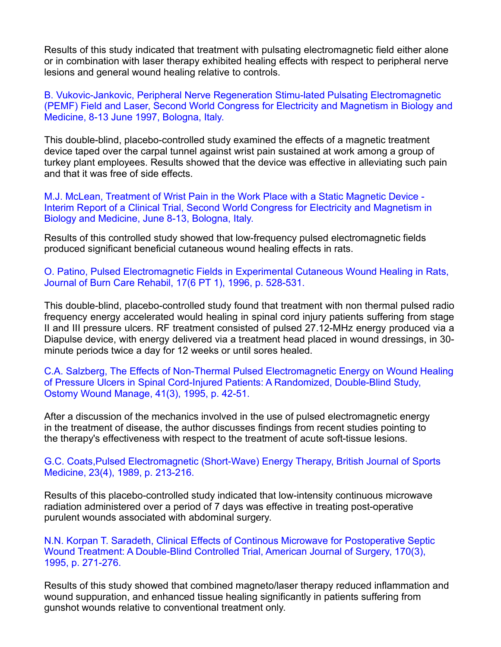Results of this study indicated that treatment with pulsating electromagnetic field either alone or in combination with laser therapy exhibited healing effects with respect to peripheral nerve lesions and general wound healing relative to controls.

B. Vukovic-Jankovic, Peripheral Nerve Regeneration Stimu-lated Pulsating Electromagnetic (PEMF) Field and Laser, Second World Congress for Electricity and Magnetism in Biology and Medicine, 8-13 June 1997, Bologna, Italy.

This double-blind, placebo-controlled study examined the effects of a magnetic treatment device taped over the carpal tunnel against wrist pain sustained at work among a group of turkey plant employees. Results showed that the device was effective in alleviating such pain and that it was free of side effects.

M.J. McLean, Treatment of Wrist Pain in the Work Place with a Static Magnetic Device - Interim Report of a Clinical Trial, Second World Congress for Electricity and Magnetism in Biology and Medicine, June 8-13, Bologna, Italy.

Results of this controlled study showed that low-frequency pulsed electromagnetic fields produced significant beneficial cutaneous wound healing effects in rats.

O. Patino, Pulsed Electromagnetic Fields in Experimental Cutaneous Wound Healing in Rats, Journal of Burn Care Rehabil, 17(6 PT 1), 1996, p. 528-531.

This double-blind, placebo-controlled study found that treatment with non thermal pulsed radio frequency energy accelerated would healing in spinal cord injury patients suffering from stage II and III pressure ulcers. RF treatment consisted of pulsed 27.12-MHz energy produced via a Diapulse device, with energy delivered via a treatment head placed in wound dressings, in 30 minute periods twice a day for 12 weeks or until sores healed.

C.A. Salzberg, The Effects of Non-Thermal Pulsed Electromagnetic Energy on Wound Healing of Pressure Ulcers in Spinal Cord-Injured Patients: A Randomized, Double-Blind Study, Ostomy Wound Manage, 41(3), 1995, p. 42-51.

After a discussion of the mechanics involved in the use of pulsed electromagnetic energy in the treatment of disease, the author discusses findings from recent studies pointing to the therapy's effectiveness with respect to the treatment of acute soft-tissue lesions.

G.C. Coats,Pulsed Electromagnetic (Short-Wave) Energy Therapy, British Journal of Sports Medicine, 23(4), 1989, p. 213-216.

Results of this placebo-controlled study indicated that low-intensity continuous microwave radiation administered over a period of 7 days was effective in treating post-operative purulent wounds associated with abdominal surgery.

N.N. Korpan T. Saradeth, Clinical Effects of Continous Microwave for Postoperative Septic Wound Treatment: A Double-Blind Controlled Trial, American Journal of Surgery, 170(3), 1995, p. 271-276.

Results of this study showed that combined magneto/laser therapy reduced inflammation and wound suppuration, and enhanced tissue healing significantly in patients suffering from gunshot wounds relative to conventional treatment only.